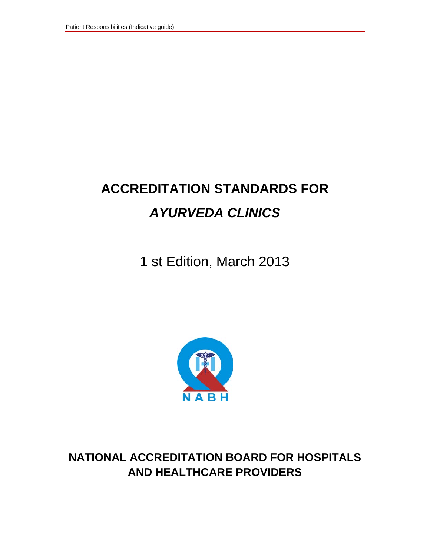# **ACCREDITATION STANDARDS FOR**  *AYURVEDA CLINICS*

1 st Edition, March 2013



**NATIONAL ACCREDITATION BOARD FOR HOSPITALS AND HEALTHCARE PROVIDERS**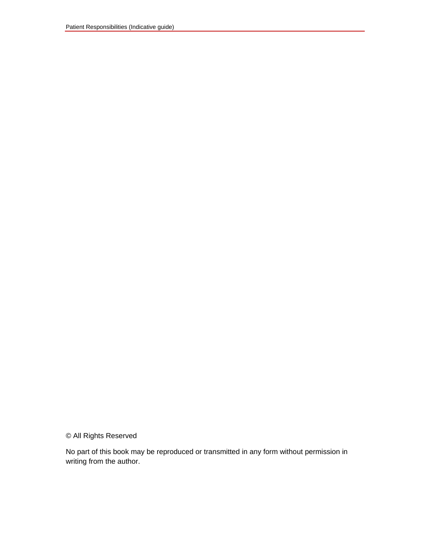© All Rights Reserved

No part of this book may be reproduced or transmitted in any form without permission in writing from the author.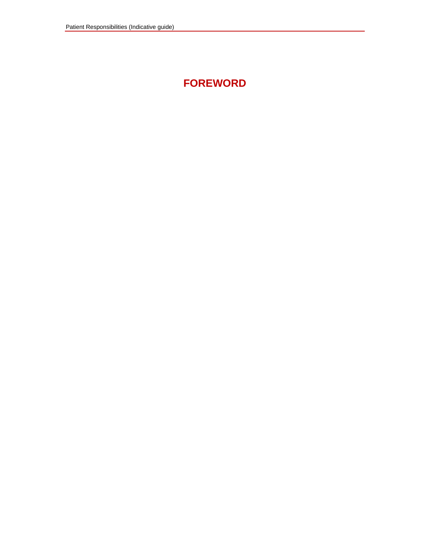# **FOREWORD**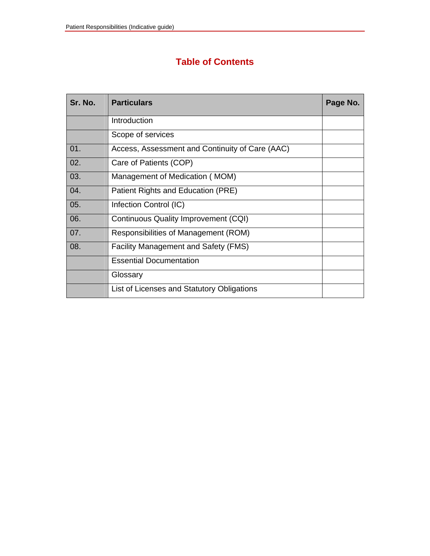### **Table of Contents**

| Sr. No. | <b>Particulars</b>                              | Page No. |
|---------|-------------------------------------------------|----------|
|         | Introduction                                    |          |
|         | Scope of services                               |          |
| 01.     | Access, Assessment and Continuity of Care (AAC) |          |
| 02.     | Care of Patients (COP)                          |          |
| 03.     | Management of Medication (MOM)                  |          |
| 04.     | Patient Rights and Education (PRE)              |          |
| 05.     | Infection Control (IC)                          |          |
| 06.     | Continuous Quality Improvement (CQI)            |          |
| 07.     | Responsibilities of Management (ROM)            |          |
| 08.     | <b>Facility Management and Safety (FMS)</b>     |          |
|         | <b>Essential Documentation</b>                  |          |
|         | Glossary                                        |          |
|         | List of Licenses and Statutory Obligations      |          |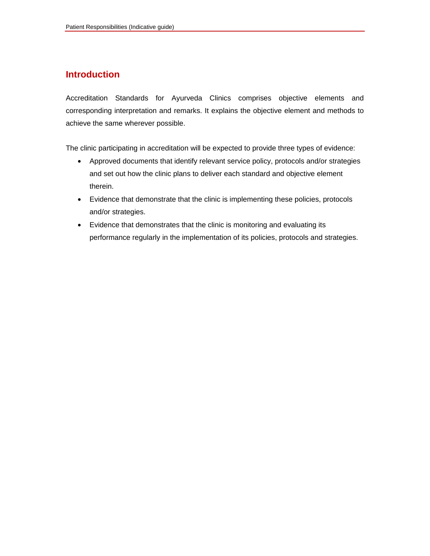### **Introduction**

Accreditation Standards for Ayurveda Clinics comprises objective elements and corresponding interpretation and remarks. It explains the objective element and methods to achieve the same wherever possible.

The clinic participating in accreditation will be expected to provide three types of evidence:

- Approved documents that identify relevant service policy, protocols and/or strategies and set out how the clinic plans to deliver each standard and objective element therein.
- Evidence that demonstrate that the clinic is implementing these policies, protocols and/or strategies.
- Evidence that demonstrates that the clinic is monitoring and evaluating its performance regularly in the implementation of its policies, protocols and strategies.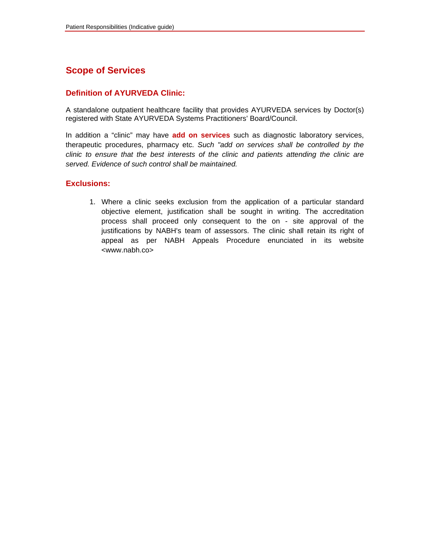### **Scope of Services**

#### **Definition of AYURVEDA Clinic:**

A standalone outpatient healthcare facility that provides AYURVEDA services by Doctor(s) registered with State AYURVEDA Systems Practitioners' Board/Council.

In addition a "clinic" may have **add on services** such as diagnostic laboratory services, therapeutic procedures, pharmacy etc. *Such "add on services shall be controlled by the clinic to ensure that the best interests of the clinic and patients attending the clinic are served. Evidence of such control shall be maintained.*

#### **Exclusions:**

1. Where a clinic seeks exclusion from the application of a particular standard objective element, justification shall be sought in writing. The accreditation process shall proceed only consequent to the on - site approval of the justifications by NABH's team of assessors. The clinic shall retain its right of appeal as per NABH Appeals Procedure enunciated in its website <www.nabh.co>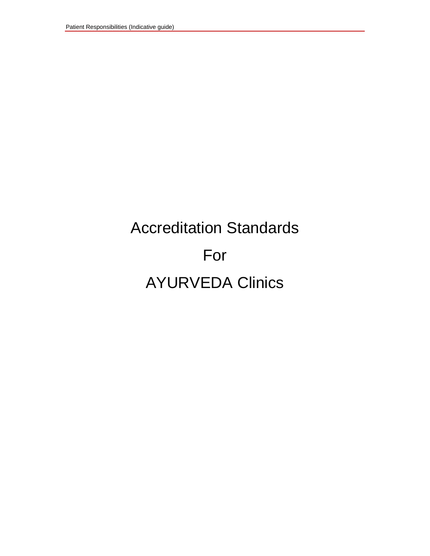# Accreditation Standards For AYURVEDA Clinics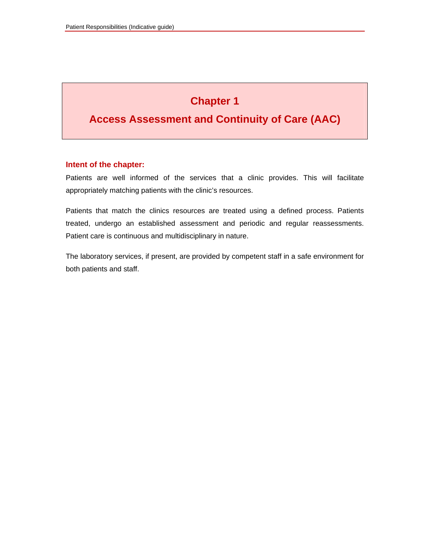# **Chapter 1**

### **Access Assessment and Continuity of Care (AAC)**

#### **Intent of the chapter:**

Patients are well informed of the services that a clinic provides. This will facilitate appropriately matching patients with the clinic's resources.

Patients that match the clinics resources are treated using a defined process. Patients treated, undergo an established assessment and periodic and regular reassessments. Patient care is continuous and multidisciplinary in nature.

The laboratory services, if present, are provided by competent staff in a safe environment for both patients and staff.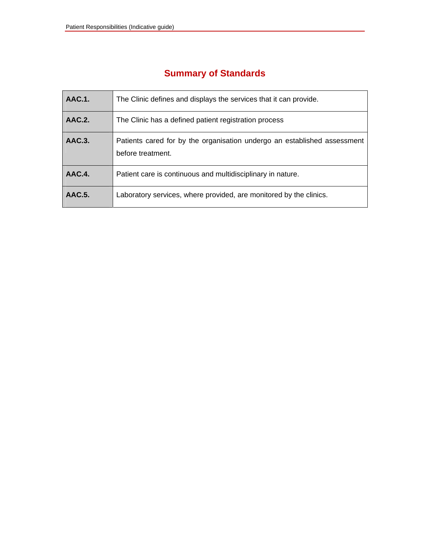| <b>AAC.1.</b> | The Clinic defines and displays the services that it can provide.                             |
|---------------|-----------------------------------------------------------------------------------------------|
| AAC.2.        | The Clinic has a defined patient registration process                                         |
| AAC.3.        | Patients cared for by the organisation undergo an established assessment<br>before treatment. |
| AAC.4.        | Patient care is continuous and multidisciplinary in nature.                                   |
| <b>AAC.5.</b> | Laboratory services, where provided, are monitored by the clinics.                            |

### **Summary of Standards**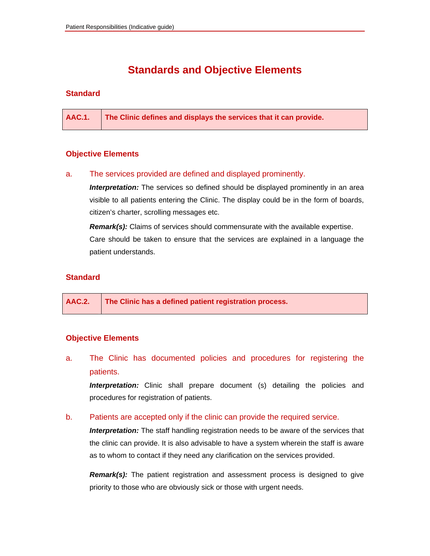### **Standards and Objective Elements**

#### **Standard**

**AAC.1. The Clinic defines and displays the services that it can provide.** 

#### **Objective Elements**

#### a. The services provided are defined and displayed prominently.

**Interpretation:** The services so defined should be displayed prominently in an area visible to all patients entering the Clinic. The display could be in the form of boards, citizen's charter, scrolling messages etc.

*Remark(s):* Claims of services should commensurate with the available expertise. Care should be taken to ensure that the services are explained in a language the patient understands.

#### **Standard**

|  | AAC.2.   The Clinic has a defined patient registration process. |
|--|-----------------------------------------------------------------|
|--|-----------------------------------------------------------------|

#### **Objective Elements**

a. The Clinic has documented policies and procedures for registering the patients.

*Interpretation:* Clinic shall prepare document (s) detailing the policies and procedures for registration of patients.

#### b. Patients are accepted only if the clinic can provide the required service.

**Interpretation:** The staff handling registration needs to be aware of the services that the clinic can provide. It is also advisable to have a system wherein the staff is aware as to whom to contact if they need any clarification on the services provided.

*Remark(s):* The patient registration and assessment process is designed to give priority to those who are obviously sick or those with urgent needs.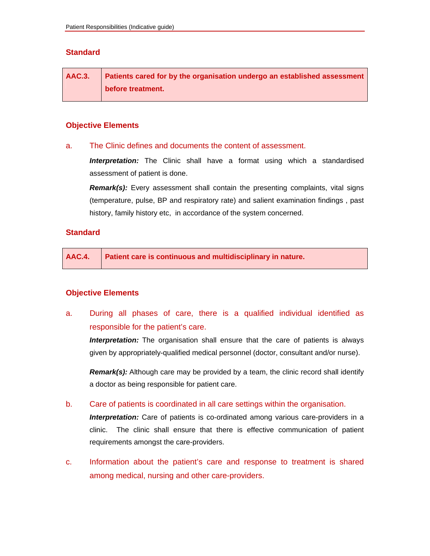#### **Standard**

| <b>AAC.3.</b> | Patients cared for by the organisation undergo an established assessment |
|---------------|--------------------------------------------------------------------------|
|               | before treatment.                                                        |

#### **Objective Elements**

#### a. The Clinic defines and documents the content of assessment.

*Interpretation:* The Clinic shall have a format using which a standardised assessment of patient is done.

*Remark(s):* Every assessment shall contain the presenting complaints, vital signs (temperature, pulse, BP and respiratory rate) and salient examination findings , past history, family history etc, in accordance of the system concerned.

#### **Standard**

**AAC.4. Patient care is continuous and multidisciplinary in nature.** 

#### **Objective Elements**

a. During all phases of care, there is a qualified individual identified as responsible for the patient's care.

**Interpretation:** The organisation shall ensure that the care of patients is always given by appropriately-qualified medical personnel (doctor, consultant and/or nurse).

**Remark(s):** Although care may be provided by a team, the clinic record shall identify a doctor as being responsible for patient care.

b. Care of patients is coordinated in all care settings within the organisation.

*Interpretation:* Care of patients is co-ordinated among various care-providers in a clinic. The clinic shall ensure that there is effective communication of patient requirements amongst the care-providers.

c. Information about the patient's care and response to treatment is shared among medical, nursing and other care-providers.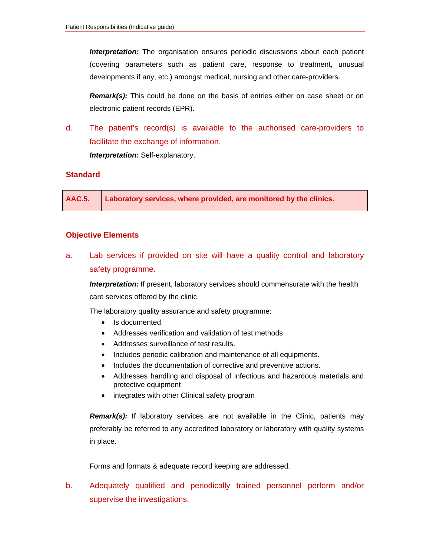*Interpretation:* The organisation ensures periodic discussions about each patient (covering parameters such as patient care, response to treatment, unusual developments if any, etc.) amongst medical, nursing and other care-providers.

*Remark(s):* This could be done on the basis of entries either on case sheet or on electronic patient records (EPR).

d. The patient's record(s) is available to the authorised care-providers to facilitate the exchange of information. *Interpretation:* Self-explanatory.

#### **Standard**

**AAC.5. Laboratory services, where provided, are monitored by the clinics.** 

#### **Objective Elements**

a. Lab services if provided on site will have a quality control and laboratory safety programme.

**Interpretation:** If present, laboratory services should commensurate with the health care services offered by the clinic.

The laboratory quality assurance and safety programme:

- Is documented.
- Addresses verification and validation of test methods.
- Addresses surveillance of test results.
- Includes periodic calibration and maintenance of all equipments.
- Includes the documentation of corrective and preventive actions.
- Addresses handling and disposal of infectious and hazardous materials and protective equipment
- integrates with other Clinical safety program

*Remark(s):* If laboratory services are not available in the Clinic, patients may preferably be referred to any accredited laboratory or laboratory with quality systems in place.

Forms and formats & adequate record keeping are addressed.

b. Adequately qualified and periodically trained personnel perform and/or supervise the investigations.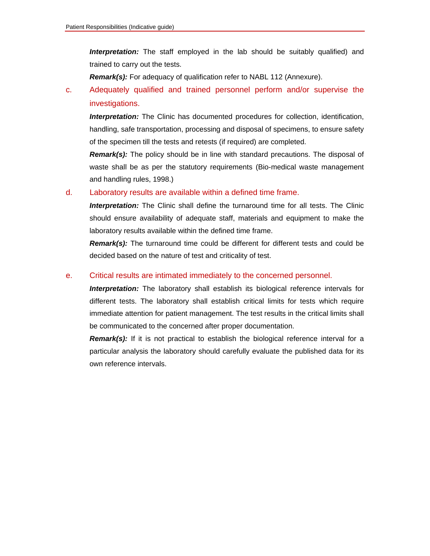*Interpretation:* The staff employed in the lab should be suitably qualified) and trained to carry out the tests.

*Remark(s):* For adequacy of qualification refer to NABL 112 (Annexure).

c. Adequately qualified and trained personnel perform and/or supervise the investigations.

*Interpretation:* The Clinic has documented procedures for collection, identification, handling, safe transportation, processing and disposal of specimens, to ensure safety of the specimen till the tests and retests (if required) are completed.

*Remark(s):* The policy should be in line with standard precautions. The disposal of waste shall be as per the statutory requirements (Bio-medical waste management and handling rules, 1998.)

#### d. Laboratory results are available within a defined time frame.

*Interpretation:* The Clinic shall define the turnaround time for all tests. The Clinic should ensure availability of adequate staff, materials and equipment to make the laboratory results available within the defined time frame.

*Remark(s):* The turnaround time could be different for different tests and could be decided based on the nature of test and criticality of test.

#### e. Critical results are intimated immediately to the concerned personnel.

*Interpretation:* The laboratory shall establish its biological reference intervals for different tests. The laboratory shall establish critical limits for tests which require immediate attention for patient management. The test results in the critical limits shall be communicated to the concerned after proper documentation.

**Remark(s):** If it is not practical to establish the biological reference interval for a particular analysis the laboratory should carefully evaluate the published data for its own reference intervals.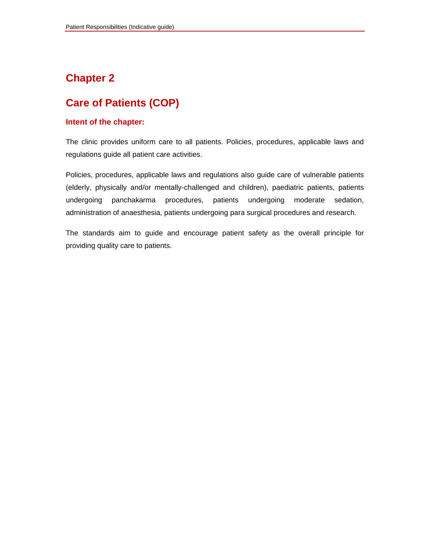### **Chapter 2**

### **Care of Patients (COP)**

#### **Intent of the chapter:**

The clinic provides uniform care to all patients. Policies, procedures, applicable laws and regulations guide all patient care activities.

Policies, procedures, applicable laws and regulations also guide care of vulnerable patients (elderly, physically and/or mentally-challenged and children), paediatric patients, patients undergoing panchakarma procedures, patients undergoing moderate sedation, administration of anaesthesia, patients undergoing para surgical procedures and research.

The standards aim to guide and encourage patient safety as the overall principle for providing quality care to patients.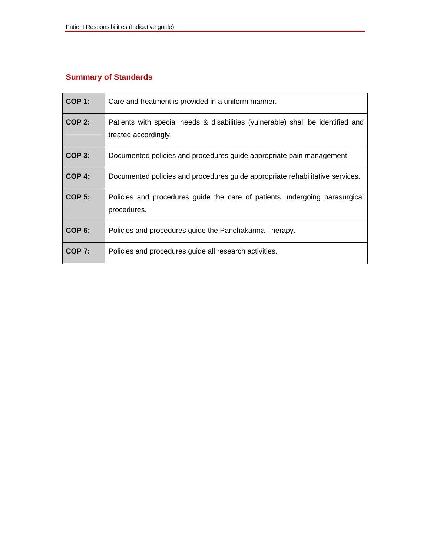### **Summary of Standards**

| <b>COP 1:</b>     | Care and treatment is provided in a uniform manner.                                                     |
|-------------------|---------------------------------------------------------------------------------------------------------|
| <b>COP 2:</b>     | Patients with special needs & disabilities (vulnerable) shall be identified and<br>treated accordingly. |
| <b>COP 3:</b>     | Documented policies and procedures guide appropriate pain management.                                   |
| $COP$ 4:          | Documented policies and procedures guide appropriate rehabilitative services.                           |
| <b>COP 5:</b>     | Policies and procedures guide the care of patients undergoing parasurgical<br>procedures.               |
| COP <sub>6:</sub> | Policies and procedures guide the Panchakarma Therapy.                                                  |
| <b>COP 7:</b>     | Policies and procedures guide all research activities.                                                  |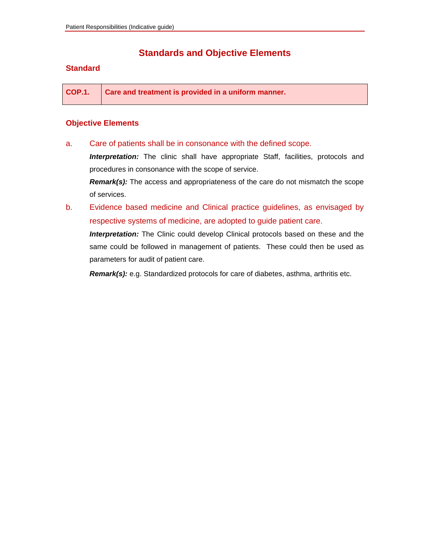### **Standards and Objective Elements**

#### **Standard**

**COP.1. Care and treatment is provided in a uniform manner.** 

#### **Objective Elements**

a. Care of patients shall be in consonance with the defined scope.

**Interpretation:** The clinic shall have appropriate Staff, facilities, protocols and procedures in consonance with the scope of service.

*Remark(s):* The access and appropriateness of the care do not mismatch the scope of services.

b. Evidence based medicine and Clinical practice guidelines, as envisaged by respective systems of medicine, are adopted to guide patient care.

*Interpretation:* The Clinic could develop Clinical protocols based on these and the same could be followed in management of patients. These could then be used as parameters for audit of patient care.

*Remark(s):* e.g. Standardized protocols for care of diabetes, asthma, arthritis etc.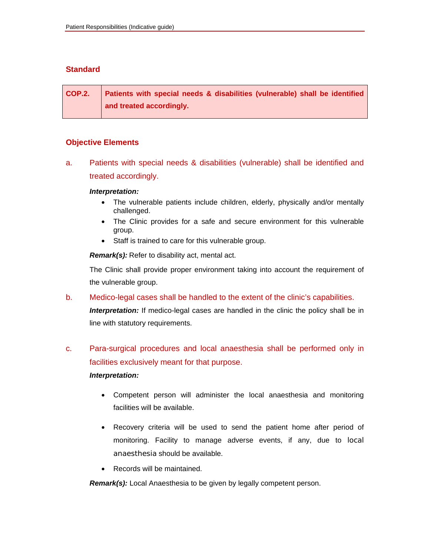#### **Standard**

**COP.2. Patients with special needs & disabilities (vulnerable) shall be identified and treated accordingly.** 

#### **Objective Elements**

a. Patients with special needs & disabilities (vulnerable) shall be identified and treated accordingly.

#### *Interpretation:*

- The vulnerable patients include children, elderly, physically and/or mentally challenged.
- The Clinic provides for a safe and secure environment for this vulnerable group.
- Staff is trained to care for this vulnerable group.

 *Remark(s):* Refer to disability act, mental act.

The Clinic shall provide proper environment taking into account the requirement of the vulnerable group.

b. Medico-legal cases shall be handled to the extent of the clinic's capabilities.

**Interpretation:** If medico-legal cases are handled in the clinic the policy shall be in line with statutory requirements.

### c. Para-surgical procedures and local anaesthesia shall be performed only in facilities exclusively meant for that purpose.

#### *Interpretation:*

- Competent person will administer the local anaesthesia and monitoring facilities will be available.
- Recovery criteria will be used to send the patient home after period of monitoring. Facility to manage adverse events, if any, due to local anaesthesia should be available.
- Records will be maintained.

 *Remark(s):* Local Anaesthesia to be given by legally competent person.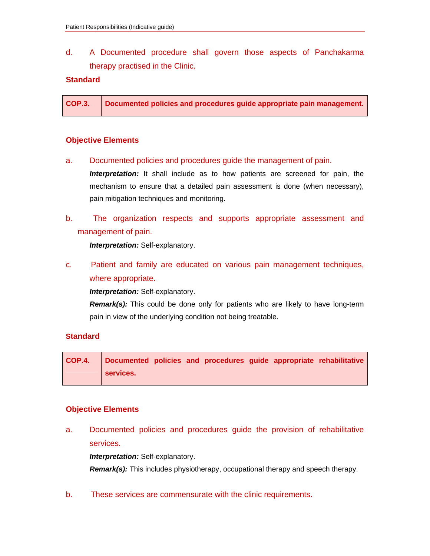d. A Documented procedure shall govern those aspects of Panchakarma therapy practised in the Clinic.

#### **Standard**

| <b>COP.3.</b> | Documented policies and procedures guide appropriate pain management. |
|---------------|-----------------------------------------------------------------------|
|               |                                                                       |

#### **Objective Elements**

a. Documented policies and procedures guide the management of pain.

**Interpretation:** It shall include as to how patients are screened for pain, the mechanism to ensure that a detailed pain assessment is done (when necessary), pain mitigation techniques and monitoring.

b. The organization respects and supports appropriate assessment and management of pain.

 *Interpretation:* Self-explanatory.

c. Patient and family are educated on various pain management techniques, where appropriate.

 *Interpretation:* Self-explanatory.

 *Remark(s):* This could be done only for patients who are likely to have long-term pain in view of the underlying condition not being treatable.

#### **Standard**

**COP.4. Documented policies and procedures guide appropriate rehabilitative services.** 

#### **Objective Elements**

a. Documented policies and procedures guide the provision of rehabilitative services.

*Interpretation:* Self-explanatory.

*Remark(s):* This includes physiotherapy, occupational therapy and speech therapy.

b. These services are commensurate with the clinic requirements.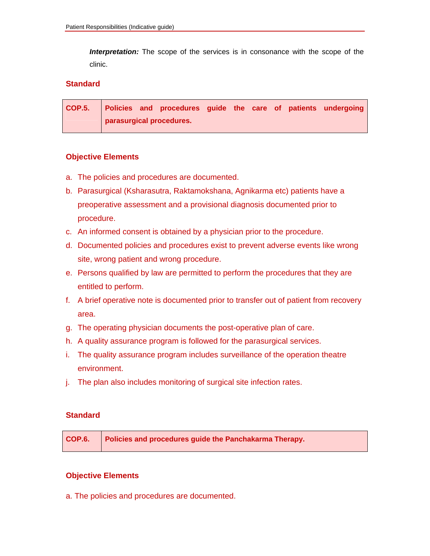*Interpretation:* The scope of the services is in consonance with the scope of the clinic.

#### **Standard**

|  |                          |  |  | COP.5. Policies and procedures guide the care of patients undergoing |
|--|--------------------------|--|--|----------------------------------------------------------------------|
|  | parasurgical procedures. |  |  |                                                                      |

#### **Objective Elements**

- a. The policies and procedures are documented.
- b. Parasurgical (Ksharasutra, Raktamokshana, Agnikarma etc) patients have a preoperative assessment and a provisional diagnosis documented prior to procedure.
- c. An informed consent is obtained by a physician prior to the procedure.
- d. Documented policies and procedures exist to prevent adverse events like wrong site, wrong patient and wrong procedure.
- e. Persons qualified by law are permitted to perform the procedures that they are entitled to perform.
- f. A brief operative note is documented prior to transfer out of patient from recovery area.
- g. The operating physician documents the post-operative plan of care.
- h. A quality assurance program is followed for the parasurgical services.
- i. The quality assurance program includes surveillance of the operation theatre environment.
- j. The plan also includes monitoring of surgical site infection rates.

#### **Standard**

|  | COP.6. Policies and procedures guide the Panchakarma Therapy. |
|--|---------------------------------------------------------------|
|--|---------------------------------------------------------------|

#### **Objective Elements**

a. The policies and procedures are documented.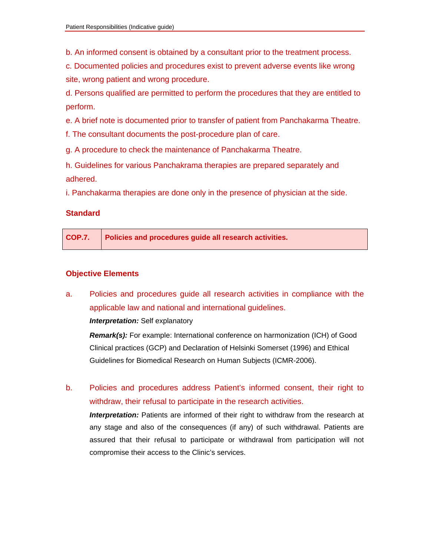b. An informed consent is obtained by a consultant prior to the treatment process.

c. Documented policies and procedures exist to prevent adverse events like wrong site, wrong patient and wrong procedure.

d. Persons qualified are permitted to perform the procedures that they are entitled to perform.

e. A brief note is documented prior to transfer of patient from Panchakarma Theatre.

f. The consultant documents the post-procedure plan of care.

g. A procedure to check the maintenance of Panchakarma Theatre.

h. Guidelines for various Panchakrama therapies are prepared separately and adhered.

i. Panchakarma therapies are done only in the presence of physician at the side.

#### **Standard**

| COP.7. Policies and procedures guide all research activities. |
|---------------------------------------------------------------|
|                                                               |

#### **Objective Elements**

a. Policies and procedures guide all research activities in compliance with the applicable law and national and international guidelines.

*Interpretation:* Self explanatory

*Remark(s):* For example: International conference on harmonization (ICH) of Good Clinical practices (GCP) and Declaration of Helsinki Somerset (1996) and Ethical Guidelines for Biomedical Research on Human Subjects (ICMR-2006).

b. Policies and procedures address Patient's informed consent, their right to withdraw, their refusal to participate in the research activities.

 *Interpretation:* Patients are informed of their right to withdraw from the research at any stage and also of the consequences (if any) of such withdrawal. Patients are assured that their refusal to participate or withdrawal from participation will not compromise their access to the Clinic's services.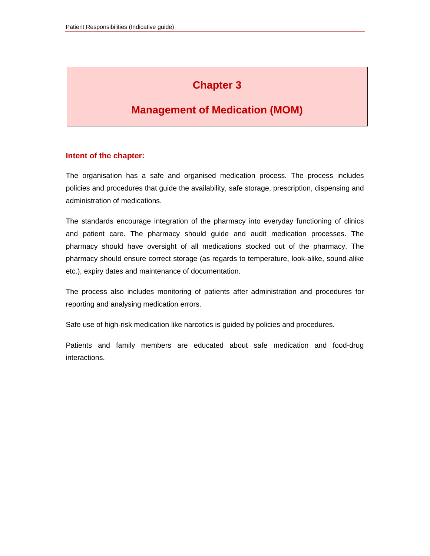# **Chapter 3**

### **Management of Medication (MOM)**

#### **Intent of the chapter:**

The organisation has a safe and organised medication process. The process includes policies and procedures that guide the availability, safe storage, prescription, dispensing and administration of medications.

The standards encourage integration of the pharmacy into everyday functioning of clinics and patient care. The pharmacy should guide and audit medication processes. The pharmacy should have oversight of all medications stocked out of the pharmacy. The pharmacy should ensure correct storage (as regards to temperature, look-alike, sound-alike etc.), expiry dates and maintenance of documentation.

The process also includes monitoring of patients after administration and procedures for reporting and analysing medication errors.

Safe use of high-risk medication like narcotics is guided by policies and procedures.

Patients and family members are educated about safe medication and food-drug interactions.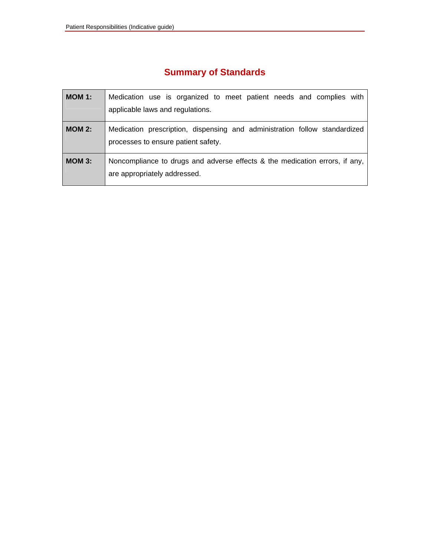# **Summary of Standards**

| MOM 1:        | Medication use is organized to meet patient needs and complies with<br>applicable laws and regulations.           |
|---------------|-------------------------------------------------------------------------------------------------------------------|
| <b>MOM 2:</b> | Medication prescription, dispensing and administration follow standardized<br>processes to ensure patient safety. |
| $MOM$ 3:      | Noncompliance to drugs and adverse effects & the medication errors, if any,<br>are appropriately addressed.       |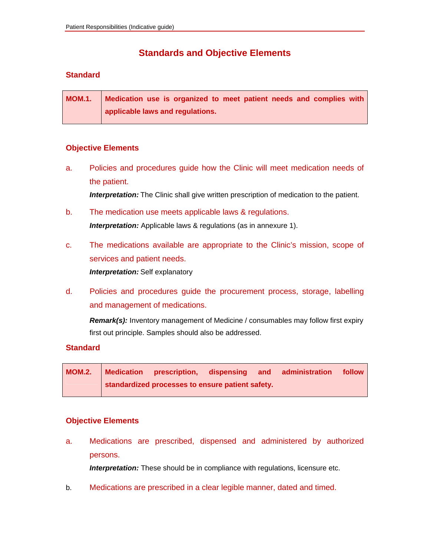### **Standards and Objective Elements**

#### **Standard**

| <b>MOM.1.</b> | Medication use is organized to meet patient needs and complies with |
|---------------|---------------------------------------------------------------------|
|               | applicable laws and regulations.                                    |

#### **Objective Elements**

- a. Policies and procedures guide how the Clinic will meet medication needs of the patient. *Interpretation:* The Clinic shall give written prescription of medication to the patient.
- b. The medication use meets applicable laws & regulations. **Interpretation:** Applicable laws & regulations (as in annexure 1).
- c. The medications available are appropriate to the Clinic's mission, scope of services and patient needs.  *Interpretation:* Self explanatory
- d. Policies and procedures guide the procurement process, storage, labelling and management of medications.

*Remark(s):* Inventory management of Medicine / consumables may follow first expiry first out principle. Samples should also be addressed.

#### **Standard**

**MOM.2. Medication prescription, dispensing and administration follow standardized processes to ensure patient safety.** 

#### **Objective Elements**

a. Medications are prescribed, dispensed and administered by authorized persons.

**Interpretation:** These should be in compliance with regulations, licensure etc.

b. Medications are prescribed in a clear legible manner, dated and timed.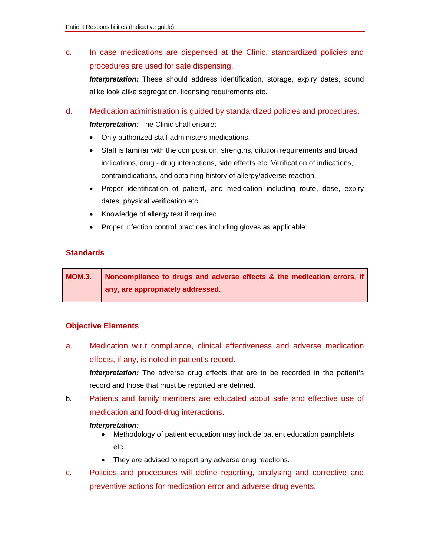c. In case medications are dispensed at the Clinic, standardized policies and procedures are used for safe dispensing.

 *Interpretation:* These should address identification, storage, expiry dates, sound alike look alike segregation, licensing requirements etc.

- d. Medication administration is guided by standardized policies and procedures. *Interpretation:* The Clinic shall ensure:
	- Only authorized staff administers medications.
	- Staff is familiar with the composition, strengths, dilution requirements and broad indications, drug - drug interactions, side effects etc. Verification of indications, contraindications, and obtaining history of allergy/adverse reaction.
	- Proper identification of patient, and medication including route, dose, expiry dates, physical verification etc.
	- Knowledge of allergy test if required.
	- Proper infection control practices including gloves as applicable

#### **Standards**

**MOM.3.** Noncompliance to drugs and adverse effects & the medication errors, if **any, are appropriately addressed.** 

#### **Objective Elements**

- a. Medication w.r.t compliance, clinical effectiveness and adverse medication effects, if any, is noted in patient's record. *Interpretation:* The adverse drug effects that are to be recorded in the patient's record and those that must be reported are defined.
- b. Patients and family members are educated about safe and effective use of medication and food-drug interactions.

#### *Interpretation:*

- Methodology of patient education may include patient education pamphlets etc.
- They are advised to report any adverse drug reactions.
- c. Policies and procedures will define reporting, analysing and corrective and preventive actions for medication error and adverse drug events.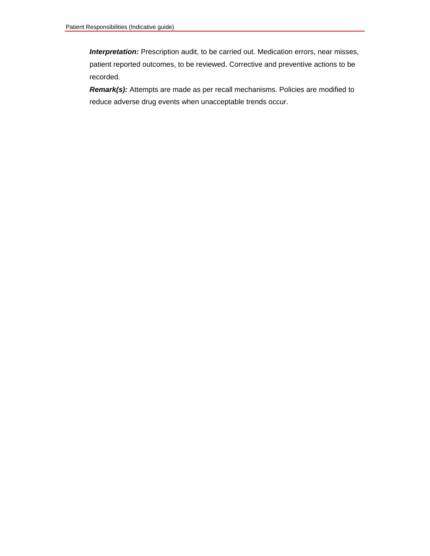**Interpretation:** Prescription audit, to be carried out. Medication errors, near misses, patient reported outcomes, to be reviewed. Corrective and preventive actions to be recorded.

*Remark(s):* Attempts are made as per recall mechanisms. Policies are modified to reduce adverse drug events when unacceptable trends occur.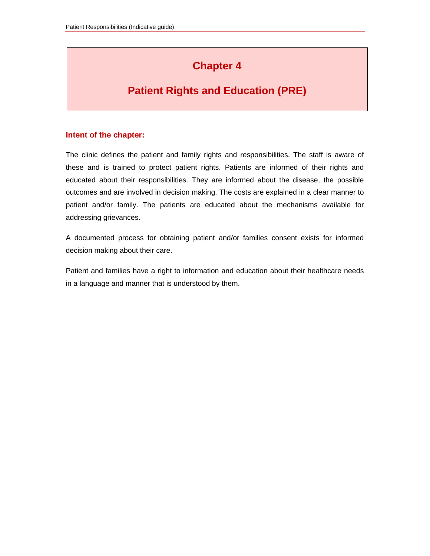# **Chapter 4**

### **Patient Rights and Education (PRE)**

#### **Intent of the chapter:**

The clinic defines the patient and family rights and responsibilities. The staff is aware of these and is trained to protect patient rights. Patients are informed of their rights and educated about their responsibilities. They are informed about the disease, the possible outcomes and are involved in decision making. The costs are explained in a clear manner to patient and/or family. The patients are educated about the mechanisms available for addressing grievances.

A documented process for obtaining patient and/or families consent exists for informed decision making about their care.

Patient and families have a right to information and education about their healthcare needs in a language and manner that is understood by them.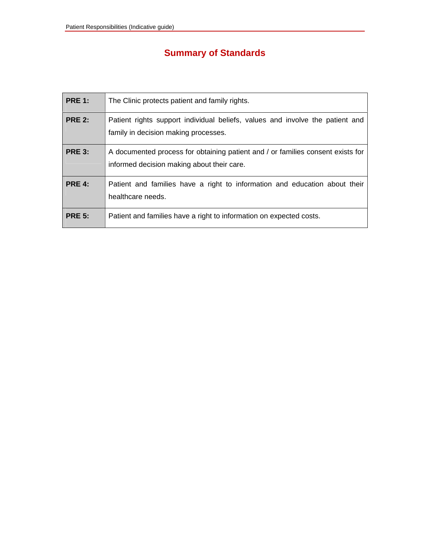# **Summary of Standards**

| <b>PRE 1:</b> | The Clinic protects patient and family rights.                                                                                |
|---------------|-------------------------------------------------------------------------------------------------------------------------------|
| <b>PRE 2:</b> | Patient rights support individual beliefs, values and involve the patient and<br>family in decision making processes.         |
| <b>PRE 3:</b> | A documented process for obtaining patient and / or families consent exists for<br>informed decision making about their care. |
| <b>PRE 4:</b> | Patient and families have a right to information and education about their<br>healthcare needs.                               |
| <b>PRE 5:</b> | Patient and families have a right to information on expected costs.                                                           |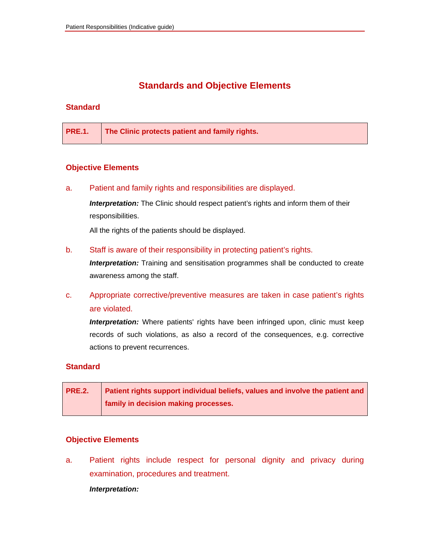### **Standards and Objective Elements**

#### **Standard**

| <b>PRE.1.</b> The Clinic protects patient and family rights. |
|--------------------------------------------------------------|
|--------------------------------------------------------------|

#### **Objective Elements**

a. Patient and family rights and responsibilities are displayed.

**Interpretation:** The Clinic should respect patient's rights and inform them of their responsibilities.

All the rights of the patients should be displayed.

b. Staff is aware of their responsibility in protecting patient's rights.

**Interpretation:** Training and sensitisation programmes shall be conducted to create awareness among the staff.

c. Appropriate corrective/preventive measures are taken in case patient's rights are violated.

**Interpretation:** Where patients' rights have been infringed upon, clinic must keep records of such violations, as also a record of the consequences, e.g. corrective actions to prevent recurrences.

#### **Standard**

| <b>PRE.2.</b> | Patient rights support individual beliefs, values and involve the patient and |
|---------------|-------------------------------------------------------------------------------|
|               | family in decision making processes.                                          |

#### **Objective Elements**

a. Patient rights include respect for personal dignity and privacy during examination, procedures and treatment.

*Interpretation:*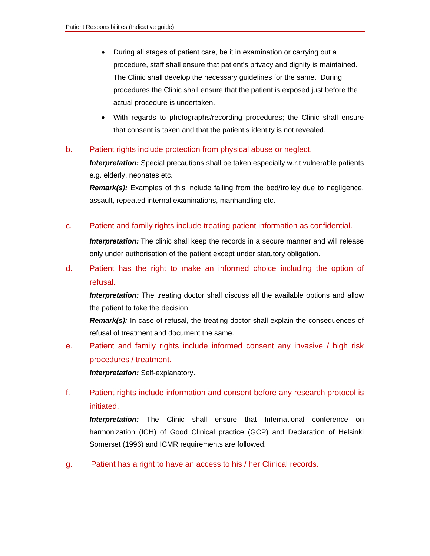- During all stages of patient care, be it in examination or carrying out a procedure, staff shall ensure that patient's privacy and dignity is maintained. The Clinic shall develop the necessary guidelines for the same. During procedures the Clinic shall ensure that the patient is exposed just before the actual procedure is undertaken.
- With regards to photographs/recording procedures; the Clinic shall ensure that consent is taken and that the patient's identity is not revealed.

#### b. Patient rights include protection from physical abuse or neglect.

*Interpretation:* Special precautions shall be taken especially w.r.t vulnerable patients e.g. elderly, neonates etc.

*Remark(s):* Examples of this include falling from the bed/trolley due to negligence, assault, repeated internal examinations, manhandling etc.

c. Patient and family rights include treating patient information as confidential.

**Interpretation:** The clinic shall keep the records in a secure manner and will release only under authorisation of the patient except under statutory obligation.

d. Patient has the right to make an informed choice including the option of refusal.

**Interpretation:** The treating doctor shall discuss all the available options and allow the patient to take the decision.

**Remark(s):** In case of refusal, the treating doctor shall explain the consequences of refusal of treatment and document the same.

e. Patient and family rights include informed consent any invasive / high risk procedures / treatment.

 *Interpretation:* Self-explanatory.

f. Patient rights include information and consent before any research protocol is initiated.

 *Interpretation:* The Clinic shall ensure that International conference on harmonization (ICH) of Good Clinical practice (GCP) and Declaration of Helsinki Somerset (1996) and ICMR requirements are followed.

g. Patient has a right to have an access to his / her Clinical records.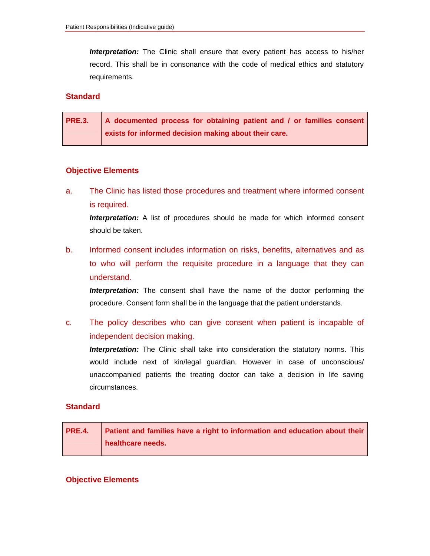*Interpretation:* The Clinic shall ensure that every patient has access to his/her record. This shall be in consonance with the code of medical ethics and statutory requirements.

#### **Standard**

| PRE.3. A documented process for obtaining patient and / or families consent |
|-----------------------------------------------------------------------------|
| exists for informed decision making about their care.                       |

#### **Objective Elements**

a. The Clinic has listed those procedures and treatment where informed consent is required.

**Interpretation:** A list of procedures should be made for which informed consent should be taken.

b. Informed consent includes information on risks, benefits, alternatives and as to who will perform the requisite procedure in a language that they can understand.

**Interpretation:** The consent shall have the name of the doctor performing the procedure. Consent form shall be in the language that the patient understands.

c. The policy describes who can give consent when patient is incapable of independent decision making.

 *Interpretation:* The Clinic shall take into consideration the statutory norms. This would include next of kin/legal guardian. However in case of unconscious/ unaccompanied patients the treating doctor can take a decision in life saving circumstances.

#### **Standard**

| <b>PRE.4.</b> Patient and families have a right to information and education about their |
|------------------------------------------------------------------------------------------|
| healthcare needs.                                                                        |

#### **Objective Elements**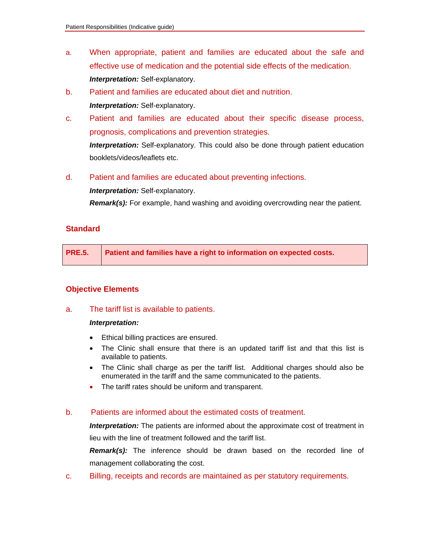- a. When appropriate, patient and families are educated about the safe and effective use of medication and the potential side effects of the medication.  *Interpretation:* Self-explanatory.
- b. Patient and families are educated about diet and nutrition. *Interpretation:* Self-explanatory.
- c. Patient and families are educated about their specific disease process, prognosis, complications and prevention strategies.  *Interpretation:* Self-explanatory. This could also be done through patient education

booklets/videos/leaflets etc.

d. Patient and families are educated about preventing infections.

 *Interpretation:* Self-explanatory.

 *Remark(s):* For example, hand washing and avoiding overcrowding near the patient.

#### **Standard**

|  | PRE.5. Patient and families have a right to information on expected costs. |
|--|----------------------------------------------------------------------------|
|--|----------------------------------------------------------------------------|

#### **Objective Elements**

a. The tariff list is available to patients.

#### *Interpretation:*

- Ethical billing practices are ensured.
- The Clinic shall ensure that there is an updated tariff list and that this list is available to patients.
- The Clinic shall charge as per the tariff list. Additional charges should also be enumerated in the tariff and the same communicated to the patients.
- The tariff rates should be uniform and transparent.

#### b. Patients are informed about the estimated costs of treatment.

*Interpretation:* The patients are informed about the approximate cost of treatment in lieu with the line of treatment followed and the tariff list.

 *Remark(s):* The inference should be drawn based on the recorded line of management collaborating the cost.

c. Billing, receipts and records are maintained as per statutory requirements.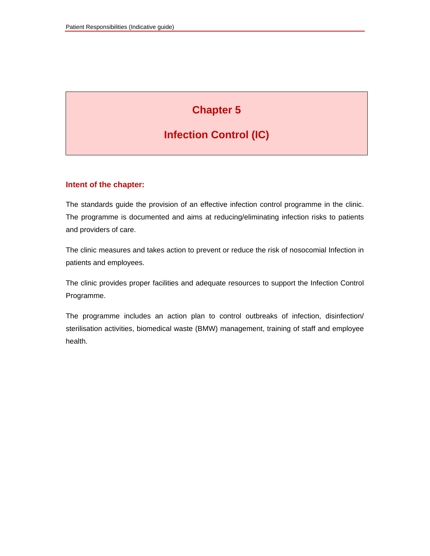# **Chapter 5**

# **Infection Control (IC)**

#### **Intent of the chapter:**

The standards guide the provision of an effective infection control programme in the clinic. The programme is documented and aims at reducing/eliminating infection risks to patients and providers of care.

The clinic measures and takes action to prevent or reduce the risk of nosocomial Infection in patients and employees.

The clinic provides proper facilities and adequate resources to support the Infection Control Programme.

The programme includes an action plan to control outbreaks of infection, disinfection/ sterilisation activities, biomedical waste (BMW) management, training of staff and employee health.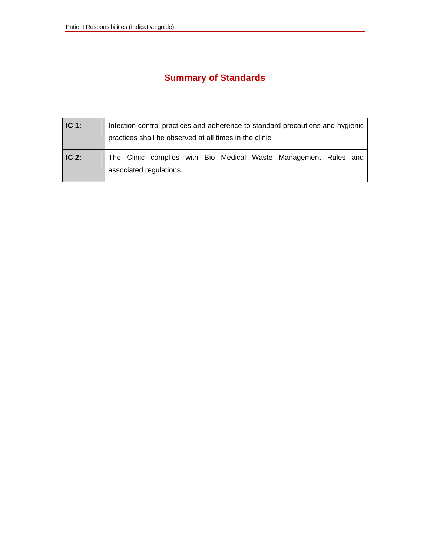# **Summary of Standards**

| IC <sub>1</sub> : | Infection control practices and adherence to standard precautions and hygienic<br>practices shall be observed at all times in the clinic. |
|-------------------|-------------------------------------------------------------------------------------------------------------------------------------------|
| $\mid$ IC 2:      | The Clinic complies with Bio Medical Waste Management Rules and<br>associated regulations.                                                |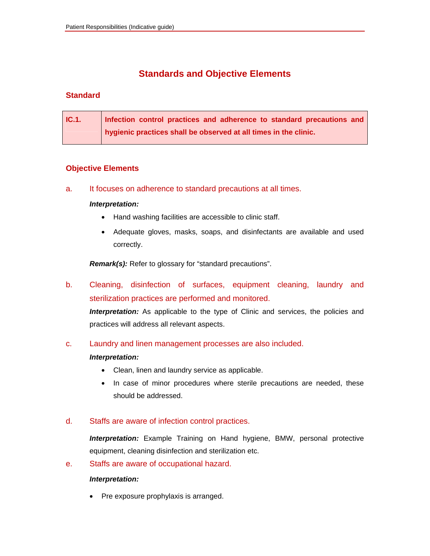### **Standards and Objective Elements**

#### **Standard**

| IC.1. | Infection control practices and adherence to standard precautions and |
|-------|-----------------------------------------------------------------------|
|       | hygienic practices shall be observed at all times in the clinic.      |

#### **Objective Elements**

a. It focuses on adherence to standard precautions at all times.

#### *Interpretation:*

- Hand washing facilities are accessible to clinic staff.
- Adequate gloves, masks, soaps, and disinfectants are available and used correctly.

 *Remark(s):* Refer to glossary for "standard precautions".

b. Cleaning, disinfection of surfaces, equipment cleaning, laundry and sterilization practices are performed and monitored.

**Interpretation:** As applicable to the type of Clinic and services, the policies and practices will address all relevant aspects.

c. Laundry and linen management processes are also included.

#### *Interpretation:*

- Clean, linen and laundry service as applicable.
- In case of minor procedures where sterile precautions are needed, these should be addressed.

#### d. Staffs are aware of infection control practices.

*Interpretation:* Example Training on Hand hygiene, BMW, personal protective equipment, cleaning disinfection and sterilization etc.

e. Staffs are aware of occupational hazard.

#### *Interpretation:*

• Pre exposure prophylaxis is arranged.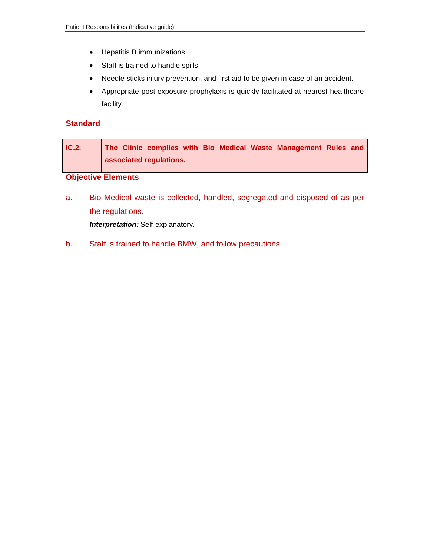- Hepatitis B immunizations
- Staff is trained to handle spills
- Needle sticks injury prevention, and first aid to be given in case of an accident.
- Appropriate post exposure prophylaxis is quickly facilitated at nearest healthcare facility.

#### **Standard**

| IC.2. | The Clinic complies with Bio Medical Waste Management Rules and |
|-------|-----------------------------------------------------------------|
|       | associated regulations.                                         |

### **Objective Elements**

a. Bio Medical waste is collected, handled, segregated and disposed of as per the regulations.

 *Interpretation:* Self-explanatory.

b. Staff is trained to handle BMW, and follow precautions.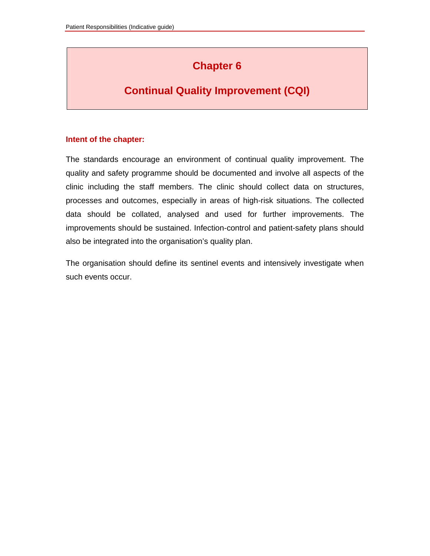# **Chapter 6**

### **Continual Quality Improvement (CQI)**

#### **Intent of the chapter:**

The standards encourage an environment of continual quality improvement. The quality and safety programme should be documented and involve all aspects of the clinic including the staff members. The clinic should collect data on structures, processes and outcomes, especially in areas of high-risk situations. The collected data should be collated, analysed and used for further improvements. The improvements should be sustained. Infection-control and patient-safety plans should also be integrated into the organisation's quality plan.

The organisation should define its sentinel events and intensively investigate when such events occur.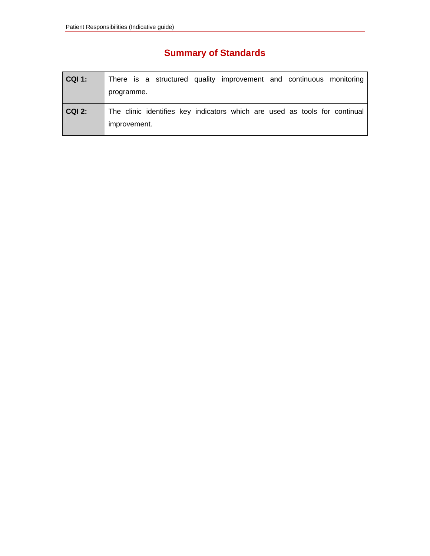# **Summary of Standards**

| <b>CQI 1:</b> | There is a structured quality improvement and continuous monitoring<br>programme.          |
|---------------|--------------------------------------------------------------------------------------------|
| <b>CQI 2:</b> | The clinic identifies key indicators which are used as tools for continual<br>improvement. |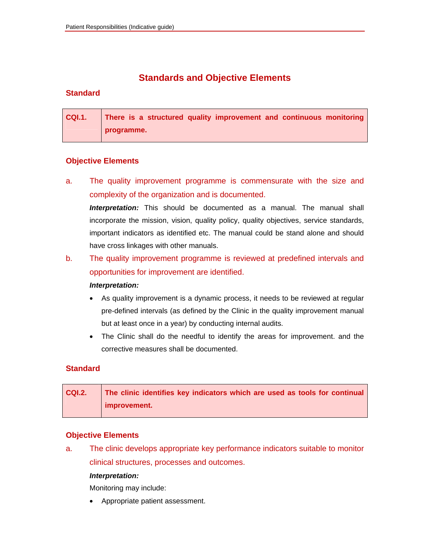### **Standards and Objective Elements**

#### **Standard**

**CQI.1. There is a structured quality improvement and continuous monitoring programme.** 

#### **Objective Elements**

a. The quality improvement programme is commensurate with the size and complexity of the organization and is documented.

*Interpretation:* This should be documented as a manual. The manual shall incorporate the mission, vision, quality policy, quality objectives, service standards, important indicators as identified etc. The manual could be stand alone and should have cross linkages with other manuals.

### b. The quality improvement programme is reviewed at predefined intervals and opportunities for improvement are identified.

#### *Interpretation:*

- As quality improvement is a dynamic process, it needs to be reviewed at regular pre-defined intervals (as defined by the Clinic in the quality improvement manual but at least once in a year) by conducting internal audits.
- The Clinic shall do the needful to identify the areas for improvement. and the corrective measures shall be documented.

#### **Standard**

| <b>CQI.2.</b> | The clinic identifies key indicators which are used as tools for continual |
|---------------|----------------------------------------------------------------------------|
|               | improvement.                                                               |

#### **Objective Elements**

a. The clinic develops appropriate key performance indicators suitable to monitor clinical structures, processes and outcomes.

#### *Interpretation:*

Monitoring may include:

• Appropriate patient assessment.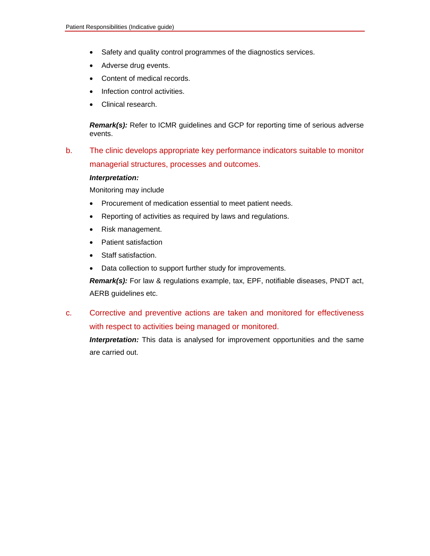- Safety and quality control programmes of the diagnostics services.
- Adverse drug events.
- Content of medical records.
- Infection control activities.
- Clinical research.

**Remark(s):** Refer to ICMR guidelines and GCP for reporting time of serious adverse events.

b. The clinic develops appropriate key performance indicators suitable to monitor managerial structures, processes and outcomes.

#### *Interpretation:*

Monitoring may include

- Procurement of medication essential to meet patient needs.
- Reporting of activities as required by laws and regulations.
- Risk management.
- Patient satisfaction
- Staff satisfaction.
- Data collection to support further study for improvements.

 *Remark(s):* For law & regulations example, tax, EPF, notifiable diseases, PNDT act, AERB guidelines etc.

c. Corrective and preventive actions are taken and monitored for effectiveness with respect to activities being managed or monitored.

**Interpretation:** This data is analysed for improvement opportunities and the same are carried out.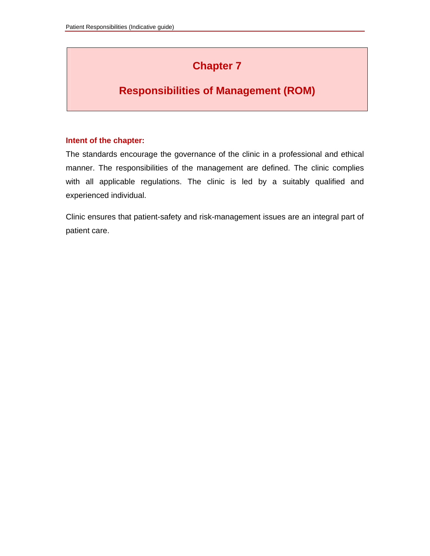# **Chapter 7**

# **Responsibilities of Management (ROM)**

#### **Intent of the chapter:**

The standards encourage the governance of the clinic in a professional and ethical manner. The responsibilities of the management are defined. The clinic complies with all applicable regulations. The clinic is led by a suitably qualified and experienced individual.

Clinic ensures that patient-safety and risk-management issues are an integral part of patient care.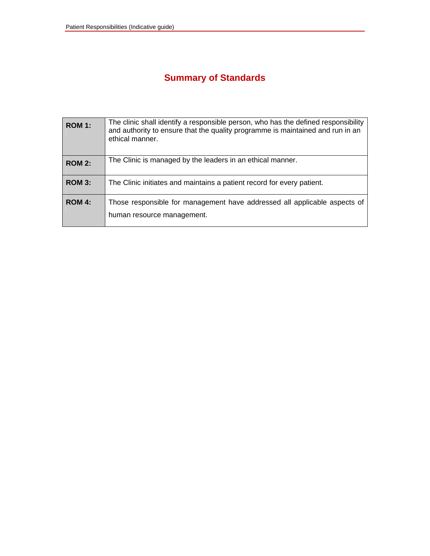# **Summary of Standards**

| <b>ROM 1:</b> | The clinic shall identify a responsible person, who has the defined responsibility<br>and authority to ensure that the quality programme is maintained and run in an<br>ethical manner. |
|---------------|-----------------------------------------------------------------------------------------------------------------------------------------------------------------------------------------|
| <b>ROM 2:</b> | The Clinic is managed by the leaders in an ethical manner.                                                                                                                              |
| <b>ROM 3:</b> | The Clinic initiates and maintains a patient record for every patient.                                                                                                                  |
| ROM 4:        | Those responsible for management have addressed all applicable aspects of<br>human resource management.                                                                                 |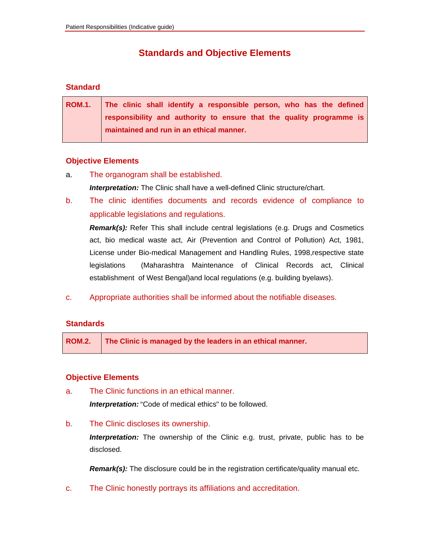### **Standards and Objective Elements**

#### **Standard**

| ROM.1. The clinic shall identify a responsible person, who has the defined |
|----------------------------------------------------------------------------|
| responsibility and authority to ensure that the quality programme is       |
| maintained and run in an ethical manner.                                   |

#### **Objective Elements**

- a. The organogram shall be established. *Interpretation:* The Clinic shall have a well-defined Clinic structure/chart.
- b. The clinic identifies documents and records evidence of compliance to applicable legislations and regulations.

 *Remark(s):* Refer This shall include central legislations (e.g. Drugs and Cosmetics act, bio medical waste act, Air (Prevention and Control of Pollution) Act, 1981, License under Bio-medical Management and Handling Rules, 1998,respective state legislations (Maharashtra Maintenance of Clinical Records act, Clinical establishment of West Bengal)and local regulations (e.g. building byelaws).

c. Appropriate authorities shall be informed about the notifiable diseases.

#### **Standards**

**ROM.2. The Clinic is managed by the leaders in an ethical manner.** 

#### **Objective Elements**

a. The Clinic functions in an ethical manner.

 *Interpretation:* "Code of medical ethics" to be followed.

b. The Clinic discloses its ownership.

 *Interpretation:* The ownership of the Clinic e.g. trust, private, public has to be disclosed.

**Remark(s):** The disclosure could be in the registration certificate/quality manual etc.

c. The Clinic honestly portrays its affiliations and accreditation.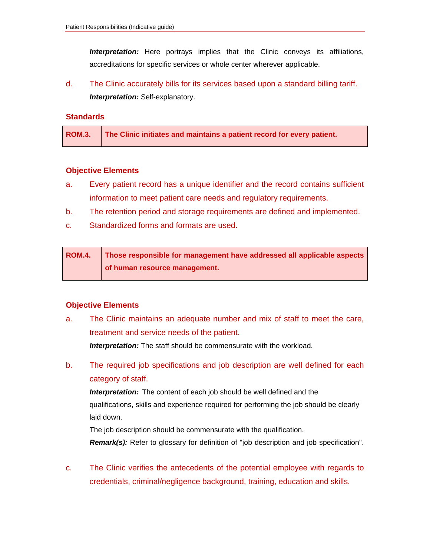*Interpretation:* Here portrays implies that the Clinic conveys its affiliations, accreditations for specific services or whole center wherever applicable.

d. The Clinic accurately bills for its services based upon a standard billing tariff.  *Interpretation:* Self-explanatory.

#### **Standards**

|  | ROM.3. The Clinic initiates and maintains a patient record for every patient. |
|--|-------------------------------------------------------------------------------|
|--|-------------------------------------------------------------------------------|

#### **Objective Elements**

- a. Every patient record has a unique identifier and the record contains sufficient information to meet patient care needs and regulatory requirements.
- b. The retention period and storage requirements are defined and implemented.
- c. Standardized forms and formats are used.

| <b>ROM.4.</b> | Those responsible for management have addressed all applicable aspects |
|---------------|------------------------------------------------------------------------|
|               | of human resource management.                                          |

#### **Objective Elements**

a. The Clinic maintains an adequate number and mix of staff to meet the care, treatment and service needs of the patient.

 *Interpretation:* The staff should be commensurate with the workload.

b. The required job specifications and job description are well defined for each category of staff.

*Interpretation:* The content of each job should be well defined and the qualifications, skills and experience required for performing the job should be clearly laid down.

 The job description should be commensurate with the qualification. **Remark(s):** Refer to glossary for definition of "job description and job specification".

c. The Clinic verifies the antecedents of the potential employee with regards to credentials, criminal/negligence background, training, education and skills.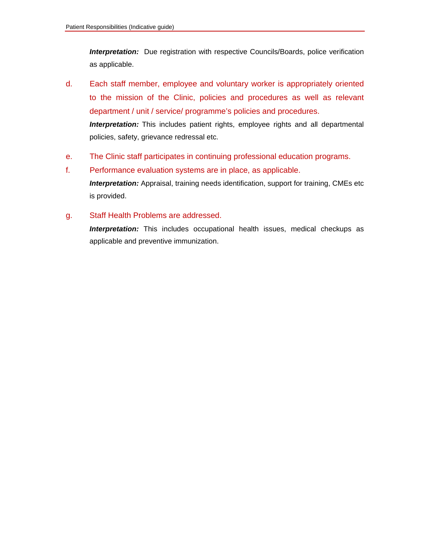*Interpretation:* Due registration with respective Councils/Boards, police verification as applicable.

- d. Each staff member, employee and voluntary worker is appropriately oriented to the mission of the Clinic, policies and procedures as well as relevant department / unit / service/ programme's policies and procedures.  *Interpretation:* This includes patient rights, employee rights and all departmental policies, safety, grievance redressal etc.
- e. The Clinic staff participates in continuing professional education programs.
- f. Performance evaluation systems are in place, as applicable.  *Interpretation:* Appraisal, training needs identification, support for training, CMEs etc is provided.
- g. Staff Health Problems are addressed.

*Interpretation:* This includes occupational health issues, medical checkups as applicable and preventive immunization.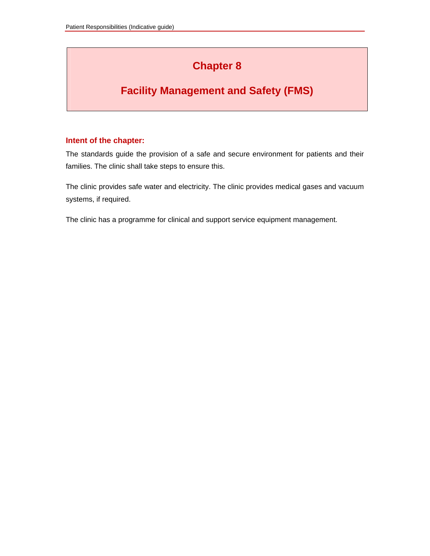# **Chapter 8**

# **Facility Management and Safety (FMS)**

#### **Intent of the chapter:**

The standards guide the provision of a safe and secure environment for patients and their families. The clinic shall take steps to ensure this.

The clinic provides safe water and electricity. The clinic provides medical gases and vacuum systems, if required.

The clinic has a programme for clinical and support service equipment management.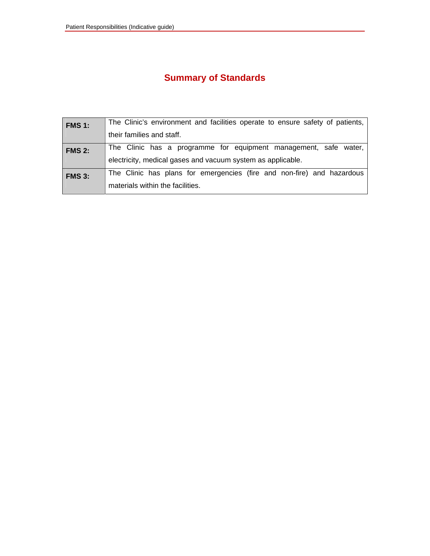# **Summary of Standards**

| <b>FMS 1:</b> | The Clinic's environment and facilities operate to ensure safety of patients, |
|---------------|-------------------------------------------------------------------------------|
|               | their families and staff.                                                     |
| <b>FMS 2:</b> | The Clinic has a programme for equipment management, safe water,              |
|               | electricity, medical gases and vacuum system as applicable.                   |
| <b>FMS 3:</b> | The Clinic has plans for emergencies (fire and non-fire) and hazardous        |
|               | materials within the facilities.                                              |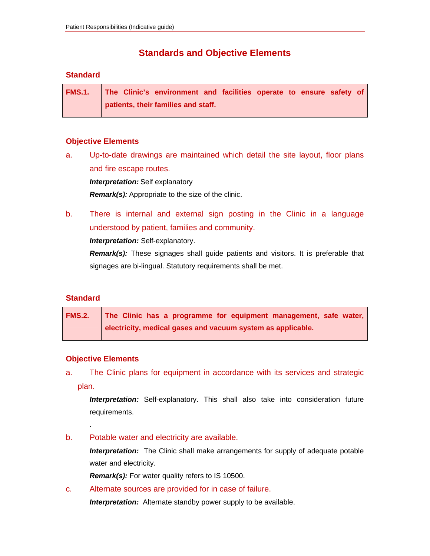### **Standards and Objective Elements**

#### **Standard**

**FMS.1. The Clinic's environment and facilities operate to ensure safety of patients, their families and staff.** 

#### **Objective Elements**

a. Up-to-date drawings are maintained which detail the site layout, floor plans and fire escape routes.

*Interpretation:* Self explanatory

*Remark(s):* Appropriate to the size of the clinic.

b. There is internal and external sign posting in the Clinic in a language understood by patient, families and community.

*Interpretation:* Self-explanatory.

*Remark(s):* These signages shall guide patients and visitors. It is preferable that signages are bi-lingual. Statutory requirements shall be met.

#### **Standard**

| FMS.2. The Clinic has a programme for equipment management, safe water, |
|-------------------------------------------------------------------------|
| electricity, medical gases and vacuum system as applicable.             |

#### **Objective Elements**

.

a. The Clinic plans for equipment in accordance with its services and strategic plan.

 *Interpretation:* Self-explanatory. This shall also take into consideration future requirements.

b. Potable water and electricity are available.

 *Interpretation:* The Clinic shall make arrangements for supply of adequate potable water and electricity.

 *Remark(s):* For water quality refers to IS 10500.

c. Alternate sources are provided for in case of failure.

 *Interpretation:* Alternate standby power supply to be available.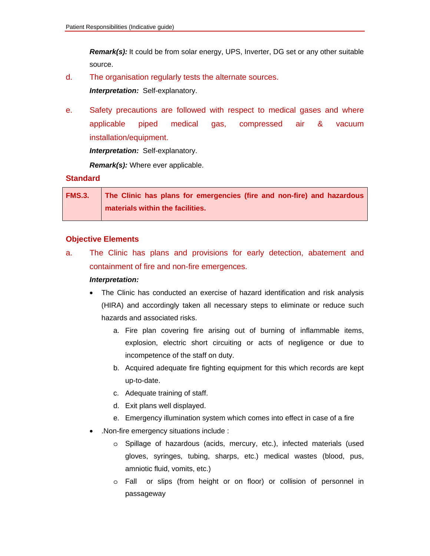*Remark(s):* It could be from solar energy, UPS, Inverter, DG set or any other suitable source.

d. The organisation regularly tests the alternate sources.

 *Interpretation:* Self-explanatory.

e. Safety precautions are followed with respect to medical gases and where applicable piped medical gas, compressed air & vacuum installation/equipment.

 *Interpretation:* Self-explanatory.

 *Remark(s):* Where ever applicable.

#### **Standard**

| FMS.3. The Clinic has plans for emergencies (fire and non-fire) and hazardous |
|-------------------------------------------------------------------------------|
| materials within the facilities.                                              |

#### **Objective Elements**

a. The Clinic has plans and provisions for early detection, abatement and containment of fire and non-fire emergences.

#### *Interpretation:*

- The Clinic has conducted an exercise of hazard identification and risk analysis (HIRA) and accordingly taken all necessary steps to eliminate or reduce such hazards and associated risks.
	- a. Fire plan covering fire arising out of burning of inflammable items, explosion, electric short circuiting or acts of negligence or due to incompetence of the staff on duty.
	- b. Acquired adequate fire fighting equipment for this which records are kept up-to-date.
	- c. Adequate training of staff.
	- d. Exit plans well displayed.
	- e. Emergency illumination system which comes into effect in case of a fire
- .Non-fire emergency situations include :
	- o Spillage of hazardous (acids, mercury, etc.), infected materials (used gloves, syringes, tubing, sharps, etc.) medical wastes (blood, pus, amniotic fluid, vomits, etc.)
	- o Fall or slips (from height or on floor) or collision of personnel in passageway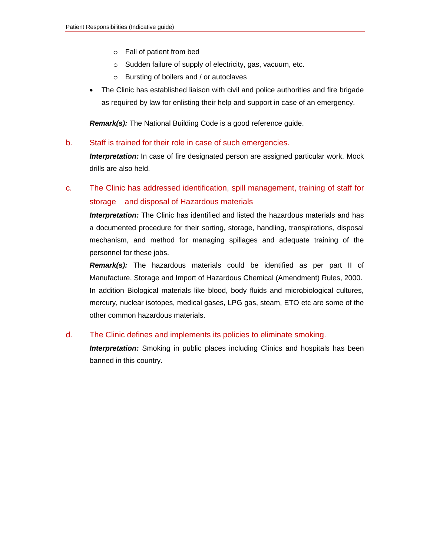- o Fall of patient from bed
- o Sudden failure of supply of electricity, gas, vacuum, etc.
- o Bursting of boilers and / or autoclaves
- The Clinic has established liaison with civil and police authorities and fire brigade as required by law for enlisting their help and support in case of an emergency.

 *Remark(s):* The National Building Code is a good reference guide.

b. Staff is trained for their role in case of such emergencies.

*Interpretation:* In case of fire designated person are assigned particular work. Mock drills are also held.

### c. The Clinic has addressed identification, spill management, training of staff for storage and disposal of Hazardous materials

 *Interpretation:* The Clinic has identified and listed the hazardous materials and has a documented procedure for their sorting, storage, handling, transpirations, disposal mechanism, and method for managing spillages and adequate training of the personnel for these jobs.

*Remark(s):* The hazardous materials could be identified as per part II of Manufacture, Storage and Import of Hazardous Chemical (Amendment) Rules, 2000. In addition Biological materials like blood, body fluids and microbiological cultures, mercury, nuclear isotopes, medical gases, LPG gas, steam, ETO etc are some of the other common hazardous materials.

#### d. The Clinic defines and implements its policies to eliminate smoking.

 *Interpretation:* Smoking in public places including Clinics and hospitals has been banned in this country.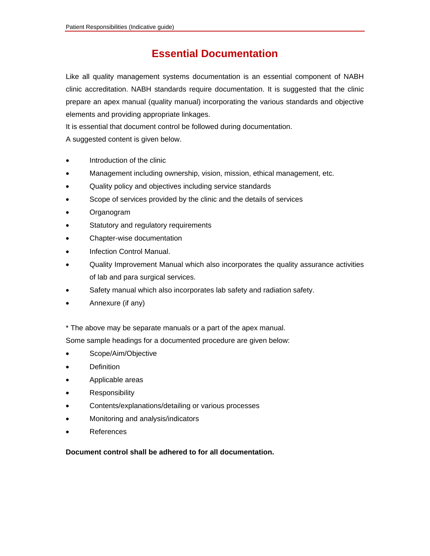### **Essential Documentation**

Like all quality management systems documentation is an essential component of NABH clinic accreditation. NABH standards require documentation. It is suggested that the clinic prepare an apex manual (quality manual) incorporating the various standards and objective elements and providing appropriate linkages.

It is essential that document control be followed during documentation.

A suggested content is given below.

- Introduction of the clinic
- Management including ownership, vision, mission, ethical management, etc.
- Quality policy and objectives including service standards
- Scope of services provided by the clinic and the details of services
- Organogram
- Statutory and regulatory requirements
- Chapter-wise documentation
- Infection Control Manual.
- Quality Improvement Manual which also incorporates the quality assurance activities of lab and para surgical services.
- Safety manual which also incorporates lab safety and radiation safety.
- Annexure (if any)

\* The above may be separate manuals or a part of the apex manual.

Some sample headings for a documented procedure are given below:

- Scope/Aim/Objective
- **Definition**
- Applicable areas
- **Responsibility**
- Contents/explanations/detailing or various processes
- Monitoring and analysis/indicators
- **References**

**Document control shall be adhered to for all documentation.**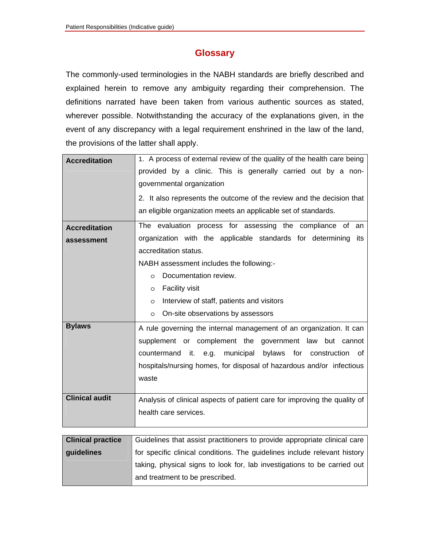### **Glossary**

The commonly-used terminologies in the NABH standards are briefly described and explained herein to remove any ambiguity regarding their comprehension. The definitions narrated have been taken from various authentic sources as stated, wherever possible. Notwithstanding the accuracy of the explanations given, in the event of any discrepancy with a legal requirement enshrined in the law of the land, the provisions of the latter shall apply.

| <b>Accreditation</b>     | 1. A process of external review of the quality of the health care being     |
|--------------------------|-----------------------------------------------------------------------------|
|                          | provided by a clinic. This is generally carried out by a non-               |
|                          | governmental organization                                                   |
|                          | 2. It also represents the outcome of the review and the decision that       |
|                          | an eligible organization meets an applicable set of standards.              |
|                          |                                                                             |
| <b>Accreditation</b>     | The evaluation process for assessing the compliance of<br>an                |
| assessment               | organization with the applicable standards for determining<br>its           |
|                          | accreditation status.                                                       |
|                          | NABH assessment includes the following:-                                    |
|                          | Documentation review.<br>$\circ$                                            |
|                          | Facility visit<br>$\circ$                                                   |
|                          | Interview of staff, patients and visitors<br>$\circ$                        |
|                          | On-site observations by assessors<br>$\circ$                                |
| <b>Bylaws</b>            | A rule governing the internal management of an organization. It can         |
|                          | supplement or complement the government<br>law<br>but cannot                |
|                          | municipal bylaws<br>for<br>countermand<br>it.<br>e.g.<br>construction<br>of |
|                          | hospitals/nursing homes, for disposal of hazardous and/or infectious        |
|                          | waste                                                                       |
|                          |                                                                             |
| <b>Clinical audit</b>    | Analysis of clinical aspects of patient care for improving the quality of   |
|                          | health care services.                                                       |
|                          |                                                                             |
| <b>Clinical practice</b> | Guidelines that assist practitioners to provide appropriate clinical care   |
|                          |                                                                             |
| guidelines               | for specific clinical conditions. The guidelines include relevant history   |
|                          | taking, physical signs to look for, lab investigations to be carried out    |

and treatment to be prescribed.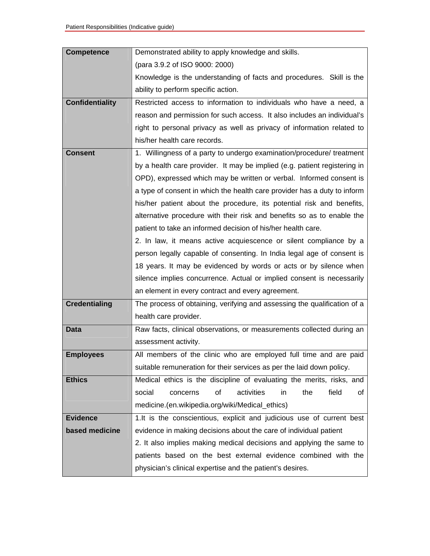| <b>Competence</b>      | Demonstrated ability to apply knowledge and skills.                       |
|------------------------|---------------------------------------------------------------------------|
|                        | (para 3.9.2 of ISO 9000: 2000)                                            |
|                        | Knowledge is the understanding of facts and procedures. Skill is the      |
|                        | ability to perform specific action.                                       |
| <b>Confidentiality</b> | Restricted access to information to individuals who have a need, a        |
|                        | reason and permission for such access. It also includes an individual's   |
|                        | right to personal privacy as well as privacy of information related to    |
|                        | his/her health care records.                                              |
| <b>Consent</b>         | 1. Willingness of a party to undergo examination/procedure/ treatment     |
|                        | by a health care provider. It may be implied (e.g. patient registering in |
|                        | OPD), expressed which may be written or verbal. Informed consent is       |
|                        | a type of consent in which the health care provider has a duty to inform  |
|                        | his/her patient about the procedure, its potential risk and benefits,     |
|                        | alternative procedure with their risk and benefits so as to enable the    |
|                        | patient to take an informed decision of his/her health care.              |
|                        | 2. In law, it means active acquiescence or silent compliance by a         |
|                        | person legally capable of consenting. In India legal age of consent is    |
|                        | 18 years. It may be evidenced by words or acts or by silence when         |
|                        | silence implies concurrence. Actual or implied consent is necessarily     |
|                        | an element in every contract and every agreement.                         |
| <b>Credentialing</b>   | The process of obtaining, verifying and assessing the qualification of a  |
|                        | health care provider.                                                     |
| <b>Data</b>            | Raw facts, clinical observations, or measurements collected during an     |
|                        | assessment activity.                                                      |
| <b>Employees</b>       | All members of the clinic who are employed full time and are paid         |
|                        | suitable remuneration for their services as per the laid down policy.     |
| <b>Ethics</b>          | Medical ethics is the discipline of evaluating the merits, risks, and     |
|                        | social<br>activities<br>the<br>field<br>concerns<br>οf<br>in<br>οf        |
|                        | medicine.(en.wikipedia.org/wiki/Medical_ethics)                           |
| <b>Evidence</b>        | 1.It is the conscientious, explicit and judicious use of current best     |
| based medicine         | evidence in making decisions about the care of individual patient         |
|                        | 2. It also implies making medical decisions and applying the same to      |
|                        | patients based on the best external evidence combined with the            |
|                        | physician's clinical expertise and the patient's desires.                 |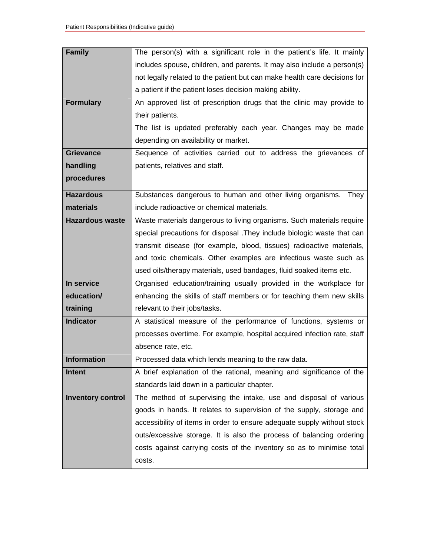| <b>Family</b>            | The person(s) with a significant role in the patient's life. It mainly    |
|--------------------------|---------------------------------------------------------------------------|
|                          | includes spouse, children, and parents. It may also include a person(s)   |
|                          | not legally related to the patient but can make health care decisions for |
|                          | a patient if the patient loses decision making ability.                   |
| <b>Formulary</b>         | An approved list of prescription drugs that the clinic may provide to     |
|                          | their patients.                                                           |
|                          | The list is updated preferably each year. Changes may be made             |
|                          | depending on availability or market.                                      |
| <b>Grievance</b>         | Sequence of activities carried out to address the grievances of           |
| handling                 | patients, relatives and staff.                                            |
| procedures               |                                                                           |
| <b>Hazardous</b>         | Substances dangerous to human and other living organisms.<br>They         |
| materials                | include radioactive or chemical materials.                                |
| <b>Hazardous waste</b>   | Waste materials dangerous to living organisms. Such materials require     |
|                          | special precautions for disposal . They include biologic waste that can   |
|                          | transmit disease (for example, blood, tissues) radioactive materials,     |
|                          | and toxic chemicals. Other examples are infectious waste such as          |
|                          | used oils/therapy materials, used bandages, fluid soaked items etc.       |
| In service               | Organised education/training usually provided in the workplace for        |
| education/               | enhancing the skills of staff members or for teaching them new skills     |
| training                 | relevant to their jobs/tasks.                                             |
| <b>Indicator</b>         | A statistical measure of the performance of functions, systems or         |
|                          | processes overtime. For example, hospital acquired infection rate, staff  |
|                          | absence rate, etc.                                                        |
| <b>Information</b>       | Processed data which lends meaning to the raw data.                       |
| <b>Intent</b>            | A brief explanation of the rational, meaning and significance of the      |
|                          | standards laid down in a particular chapter.                              |
| <b>Inventory control</b> | The method of supervising the intake, use and disposal of various         |
|                          | goods in hands. It relates to supervision of the supply, storage and      |
|                          | accessibility of items in order to ensure adequate supply without stock   |
|                          | outs/excessive storage. It is also the process of balancing ordering      |
|                          | costs against carrying costs of the inventory so as to minimise total     |
|                          | costs.                                                                    |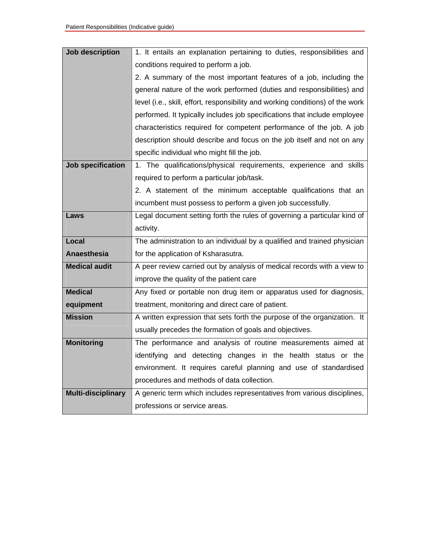| <b>Job description</b>    | 1. It entails an explanation pertaining to duties, responsibilities and        |
|---------------------------|--------------------------------------------------------------------------------|
|                           | conditions required to perform a job.                                          |
|                           | 2. A summary of the most important features of a job, including the            |
|                           | general nature of the work performed (duties and responsibilities) and         |
|                           | level (i.e., skill, effort, responsibility and working conditions) of the work |
|                           | performed. It typically includes job specifications that include employee      |
|                           | characteristics required for competent performance of the job. A job           |
|                           | description should describe and focus on the job itself and not on any         |
|                           | specific individual who might fill the job.                                    |
| <b>Job specification</b>  | 1. The qualifications/physical requirements, experience and skills             |
|                           | required to perform a particular job/task.                                     |
|                           | 2. A statement of the minimum acceptable qualifications that an                |
|                           | incumbent must possess to perform a given job successfully.                    |
| Laws                      | Legal document setting forth the rules of governing a particular kind of       |
|                           | activity.                                                                      |
| Local                     | The administration to an individual by a qualified and trained physician       |
| <b>Anaesthesia</b>        | for the application of Ksharasutra.                                            |
| <b>Medical audit</b>      | A peer review carried out by analysis of medical records with a view to        |
|                           | improve the quality of the patient care                                        |
| <b>Medical</b>            | Any fixed or portable non drug item or apparatus used for diagnosis,           |
| equipment                 | treatment, monitoring and direct care of patient.                              |
| <b>Mission</b>            | A written expression that sets forth the purpose of the organization. It       |
|                           | usually precedes the formation of goals and objectives.                        |
| <b>Monitoring</b>         | The performance and analysis of routine measurements aimed at                  |
|                           | identifying and detecting changes in the health status or the                  |
|                           | environment. It requires careful planning and use of standardised              |
|                           | procedures and methods of data collection.                                     |
| <b>Multi-disciplinary</b> | A generic term which includes representatives from various disciplines,        |
|                           | professions or service areas.                                                  |

<u> 1989 - Johann Stoff, deutscher Stoffen und der Stoffen und der Stoffen und der Stoffen und der Stoffen und d</u>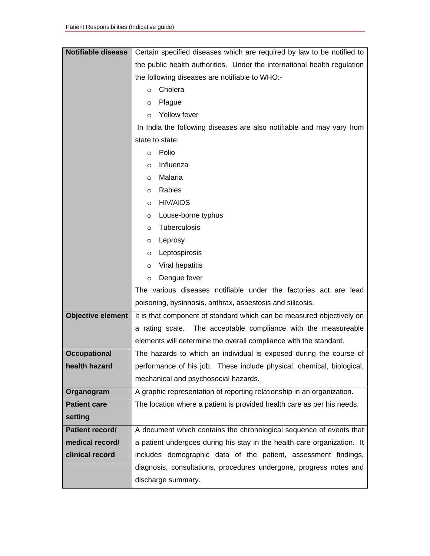| <b>Notifiable disease</b> | Certain specified diseases which are required by law to be notified to   |
|---------------------------|--------------------------------------------------------------------------|
|                           | the public health authorities. Under the international health regulation |
|                           | the following diseases are notifiable to WHO:-                           |
|                           | Cholera<br>O                                                             |
|                           | Plague<br>O                                                              |
|                           | Yellow fever<br>$\circ$                                                  |
|                           | In India the following diseases are also notifiable and may vary from    |
|                           | state to state:                                                          |
|                           | Polio<br>O                                                               |
|                           | Influenza<br>O                                                           |
|                           | Malaria<br>O                                                             |
|                           | Rabies<br>O                                                              |
|                           | <b>HIV/AIDS</b><br>O                                                     |
|                           | Louse-borne typhus<br>O                                                  |
|                           | Tuberculosis<br>O                                                        |
|                           | Leprosy<br>O                                                             |
|                           | Leptospirosis<br>O                                                       |
|                           | Viral hepatitis<br>O                                                     |
|                           | Dengue fever<br>O                                                        |
|                           | The various diseases notifiable under the factories act are lead         |
|                           | poisoning, bysinnosis, anthrax, asbestosis and silicosis.                |
| <b>Objective element</b>  | It is that component of standard which can be measured objectively on    |
|                           | a rating scale. The acceptable compliance with the measureable           |
|                           | elements will determine the overall compliance with the standard.        |
| <b>Occupational</b>       | The hazards to which an individual is exposed during the course of       |
| health hazard             | performance of his job. These include physical, chemical, biological,    |
|                           | mechanical and psychosocial hazards.                                     |
| Organogram                | A graphic representation of reporting relationship in an organization.   |
| <b>Patient care</b>       | The location where a patient is provided health care as per his needs.   |
| setting                   |                                                                          |
| Patient record/           | A document which contains the chronological sequence of events that      |
| medical record/           | a patient undergoes during his stay in the health care organization. It  |
| clinical record           | includes demographic data of the patient, assessment findings,           |
|                           | diagnosis, consultations, procedures undergone, progress notes and       |
|                           | discharge summary.                                                       |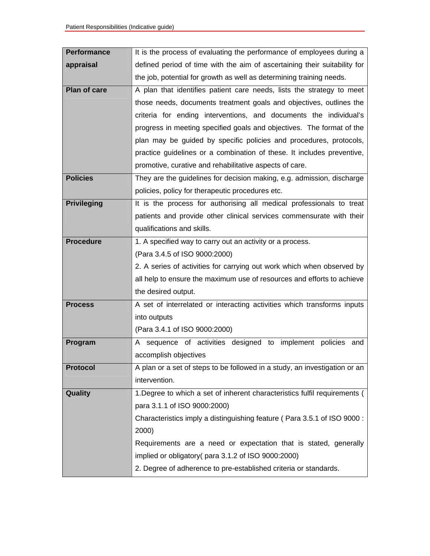| <b>Performance</b>  | It is the process of evaluating the performance of employees during a      |
|---------------------|----------------------------------------------------------------------------|
| appraisal           | defined period of time with the aim of ascertaining their suitability for  |
|                     | the job, potential for growth as well as determining training needs.       |
| <b>Plan of care</b> | A plan that identifies patient care needs, lists the strategy to meet      |
|                     | those needs, documents treatment goals and objectives, outlines the        |
|                     | criteria for ending interventions, and documents the individual's          |
|                     | progress in meeting specified goals and objectives. The format of the      |
|                     | plan may be guided by specific policies and procedures, protocols,         |
|                     | practice guidelines or a combination of these. It includes preventive,     |
|                     | promotive, curative and rehabilitative aspects of care.                    |
| <b>Policies</b>     | They are the guidelines for decision making, e.g. admission, discharge     |
|                     | policies, policy for therapeutic procedures etc.                           |
| <b>Privileging</b>  | It is the process for authorising all medical professionals to treat       |
|                     | patients and provide other clinical services commensurate with their       |
|                     | qualifications and skills.                                                 |
| <b>Procedure</b>    | 1. A specified way to carry out an activity or a process.                  |
|                     | (Para 3.4.5 of ISO 9000:2000)                                              |
|                     | 2. A series of activities for carrying out work which when observed by     |
|                     | all help to ensure the maximum use of resources and efforts to achieve     |
|                     | the desired output.                                                        |
| <b>Process</b>      | A set of interrelated or interacting activities which transforms inputs    |
|                     | into outputs                                                               |
|                     | (Para 3.4.1 of ISO 9000:2000)                                              |
| Program             | A sequence of activities designed to implement policies and                |
|                     | accomplish objectives                                                      |
| <b>Protocol</b>     | A plan or a set of steps to be followed in a study, an investigation or an |
|                     | intervention.                                                              |
| Quality             | 1. Degree to which a set of inherent characteristics fulfil requirements ( |
|                     | para 3.1.1 of ISO 9000:2000)                                               |
|                     | Characteristics imply a distinguishing feature (Para 3.5.1 of ISO 9000 :   |
|                     | 2000)                                                                      |
|                     | Requirements are a need or expectation that is stated, generally           |
|                     | implied or obligatory (para 3.1.2 of ISO 9000:2000)                        |
|                     | 2. Degree of adherence to pre-established criteria or standards.           |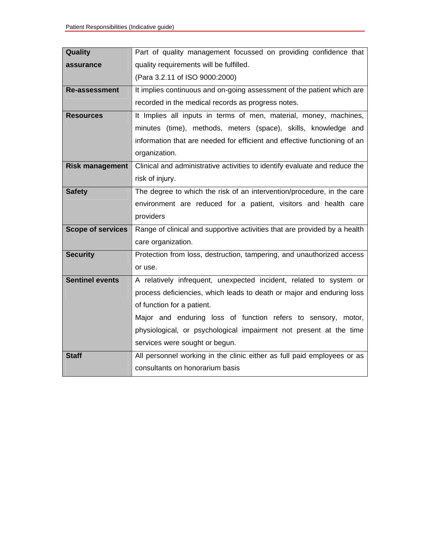| Quality                  | Part of quality management focussed on providing confidence that           |
|--------------------------|----------------------------------------------------------------------------|
| assurance                | quality requirements will be fulfilled.                                    |
|                          | (Para 3.2.11 of ISO 9000:2000)                                             |
| <b>Re-assessment</b>     | It implies continuous and on-going assessment of the patient which are     |
|                          | recorded in the medical records as progress notes.                         |
| <b>Resources</b>         | It Implies all inputs in terms of men, material, money, machines,          |
|                          | minutes (time), methods, meters (space), skills, knowledge and             |
|                          | information that are needed for efficient and effective functioning of an  |
|                          | organization.                                                              |
| <b>Risk management</b>   | Clinical and administrative activities to identify evaluate and reduce the |
|                          | risk of injury.                                                            |
| <b>Safety</b>            | The degree to which the risk of an intervention/procedure, in the care     |
|                          | environment are reduced for a patient, visitors and health care            |
|                          | providers                                                                  |
| <b>Scope of services</b> | Range of clinical and supportive activities that are provided by a health  |
|                          | care organization.                                                         |
| <b>Security</b>          | Protection from loss, destruction, tampering, and unauthorized access      |
|                          | or use.                                                                    |
| <b>Sentinel events</b>   | A relatively infrequent, unexpected incident, related to system or         |
|                          |                                                                            |
|                          | process deficiencies, which leads to death or major and enduring loss      |
|                          | of function for a patient.                                                 |
|                          | Major and enduring loss of function refers to sensory, motor,              |
|                          | physiological, or psychological impairment not present at the time         |
|                          | services were sought or begun.                                             |
| <b>Staff</b>             | All personnel working in the clinic either as full paid employees or as    |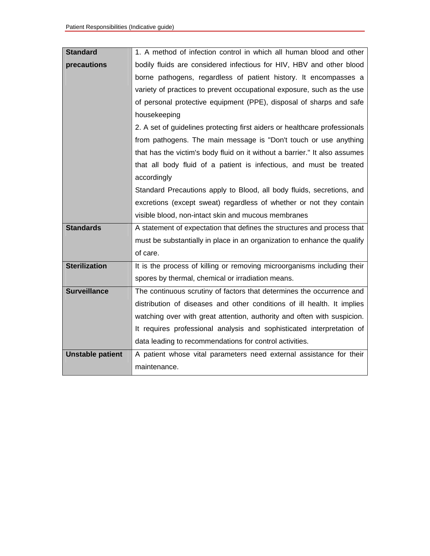| <b>Standard</b>         | 1. A method of infection control in which all human blood and other        |
|-------------------------|----------------------------------------------------------------------------|
| precautions             | bodily fluids are considered infectious for HIV, HBV and other blood       |
|                         | borne pathogens, regardless of patient history. It encompasses a           |
|                         | variety of practices to prevent occupational exposure, such as the use     |
|                         | of personal protective equipment (PPE), disposal of sharps and safe        |
|                         | housekeeping                                                               |
|                         | 2. A set of guidelines protecting first aiders or healthcare professionals |
|                         | from pathogens. The main message is "Don't touch or use anything           |
|                         | that has the victim's body fluid on it without a barrier." It also assumes |
|                         | that all body fluid of a patient is infectious, and must be treated        |
|                         | accordingly                                                                |
|                         | Standard Precautions apply to Blood, all body fluids, secretions, and      |
|                         | excretions (except sweat) regardless of whether or not they contain        |
|                         | visible blood, non-intact skin and mucous membranes                        |
| <b>Standards</b>        | A statement of expectation that defines the structures and process that    |
|                         | must be substantially in place in an organization to enhance the qualify   |
|                         | of care.                                                                   |
| <b>Sterilization</b>    | It is the process of killing or removing microorganisms including their    |
|                         | spores by thermal, chemical or irradiation means.                          |
| <b>Surveillance</b>     | The continuous scrutiny of factors that determines the occurrence and      |
|                         | distribution of diseases and other conditions of ill health. It implies    |
|                         | watching over with great attention, authority and often with suspicion.    |
|                         | It requires professional analysis and sophisticated interpretation of      |
|                         | data leading to recommendations for control activities.                    |
| <b>Unstable patient</b> | A patient whose vital parameters need external assistance for their        |
|                         | maintenance.                                                               |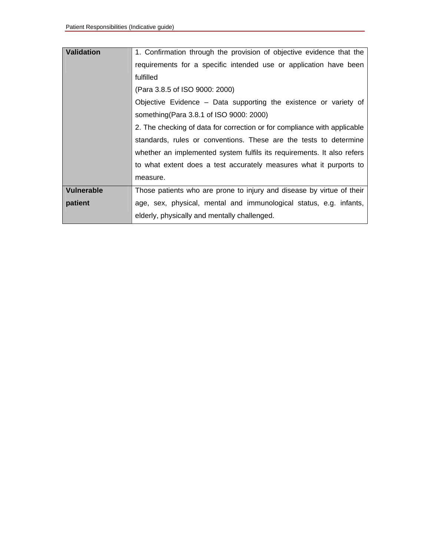| Validation | 1. Confirmation through the provision of objective evidence that the     |
|------------|--------------------------------------------------------------------------|
|            | requirements for a specific intended use or application have been        |
|            | fulfilled                                                                |
|            | (Para 3.8.5 of ISO 9000: 2000)                                           |
|            | Objective Evidence - Data supporting the existence or variety of         |
|            | something (Para 3.8.1 of ISO 9000: 2000)                                 |
|            | 2. The checking of data for correction or for compliance with applicable |
|            | standards, rules or conventions. These are the tests to determine        |
|            | whether an implemented system fulfils its requirements. It also refers   |
|            | to what extent does a test accurately measures what it purports to       |
|            | measure.                                                                 |
| Vulnerable | Those patients who are prone to injury and disease by virtue of their    |
| patient    | age, sex, physical, mental and immunological status, e.g. infants,       |
|            | elderly, physically and mentally challenged.                             |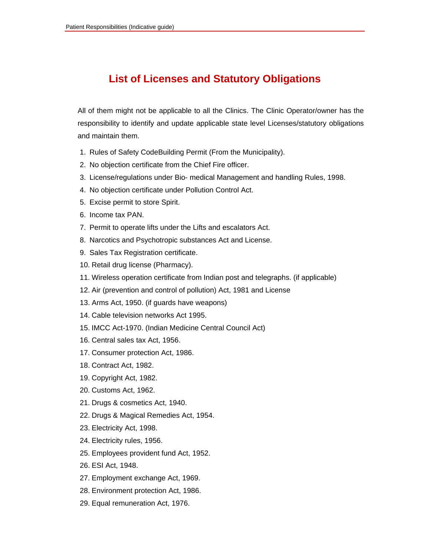# **List of Licenses and Statutory Obligations**

All of them might not be applicable to all the Clinics. The Clinic Operator/owner has the responsibility to identify and update applicable state level Licenses/statutory obligations and maintain them.

- 1. Rules of Safety CodeBuilding Permit (From the Municipality).
- 2. No objection certificate from the Chief Fire officer.
- 3. License/regulations under Bio- medical Management and handling Rules, 1998.
- 4. No objection certificate under Pollution Control Act.
- 5. Excise permit to store Spirit.
- 6. Income tax PAN.
- 7. Permit to operate lifts under the Lifts and escalators Act.
- 8. Narcotics and Psychotropic substances Act and License.
- 9. Sales Tax Registration certificate.
- 10. Retail drug license (Pharmacy).
- 11. Wireless operation certificate from Indian post and telegraphs. (if applicable)
- 12. Air (prevention and control of pollution) Act, 1981 and License
- 13. Arms Act, 1950. (if guards have weapons)
- 14. Cable television networks Act 1995.
- 15. IMCC Act-1970. (Indian Medicine Central Council Act)
- 16. Central sales tax Act, 1956.
- 17. Consumer protection Act, 1986.
- 18. Contract Act, 1982.
- 19. Copyright Act, 1982.
- 20. Customs Act, 1962.
- 21. Drugs & cosmetics Act, 1940.
- 22. Drugs & Magical Remedies Act, 1954.
- 23. Electricity Act, 1998.
- 24. Electricity rules, 1956.
- 25. Employees provident fund Act, 1952.
- 26. ESI Act, 1948.
- 27. Employment exchange Act, 1969.
- 28. Environment protection Act, 1986.
- 29. Equal remuneration Act, 1976.